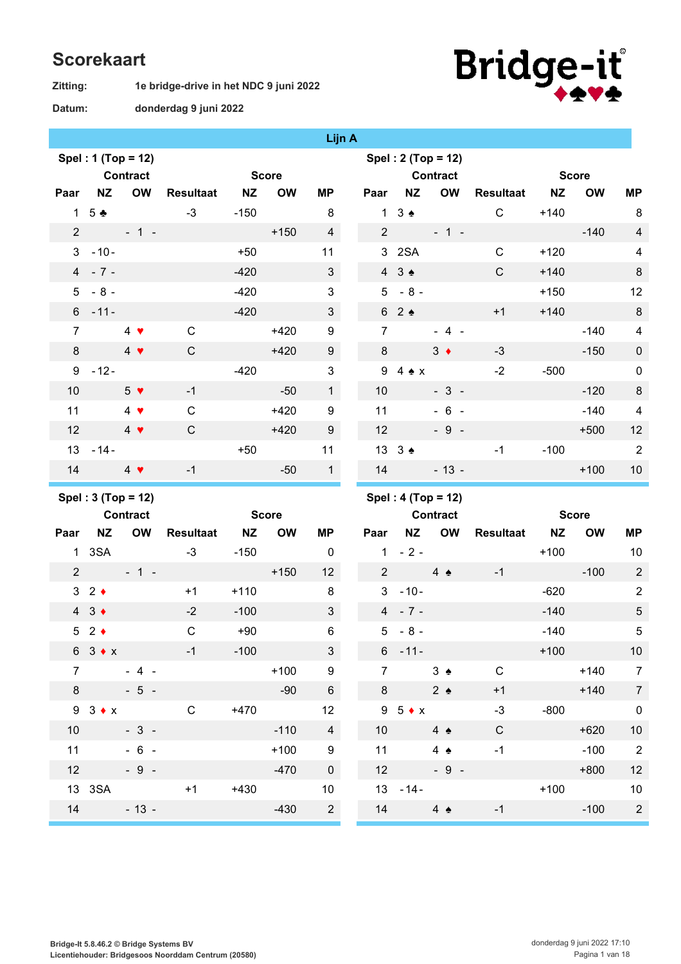## **Scorekaart**

**Zitting:**

**1e bridge-drive in het NDC 9 juni 2022**



**donderdag 9 juni 2022 Datum:**

|                 |                                |                    |                  |           |              | <u>syn a</u>   |                 |                                |                    |                  |           |              |                          |
|-----------------|--------------------------------|--------------------|------------------|-----------|--------------|----------------|-----------------|--------------------------------|--------------------|------------------|-----------|--------------|--------------------------|
|                 |                                | Spel: 1 (Top = 12) |                  |           |              |                |                 |                                | Spel: 2 (Top = 12) |                  |           |              |                          |
|                 |                                | <b>Contract</b>    |                  |           | <b>Score</b> |                |                 |                                | <b>Contract</b>    |                  |           | <b>Score</b> |                          |
| Paar            | <b>NZ</b>                      | OW                 | <b>Resultaat</b> | <b>NZ</b> | <b>OW</b>    | <b>MP</b>      | Paar            | <b>NZ</b>                      | <b>OW</b>          | <b>Resultaat</b> | <b>NZ</b> | <b>OW</b>    | <b>MP</b>                |
|                 | 1 5 $\clubsuit$                |                    | $-3$             | $-150$    |              | 8              |                 | $1 \t3$                        |                    | $\mathsf{C}$     | $+140$    |              | 8                        |
|                 | $2 \left( \frac{1}{2} \right)$ | $-1 -$             |                  |           | $+150$       | $\overline{4}$ |                 | $2 \left( \frac{1}{2} \right)$ | $-1 -$             |                  |           | $-140$       | $\overline{\mathcal{L}}$ |
|                 | $3 - 10 -$                     |                    |                  | $+50$     |              | 11             |                 | 3 2SA                          |                    | $\mathsf{C}$     | $+120$    |              | $\overline{\mathcal{L}}$ |
|                 | $4 - 7 -$                      |                    |                  | $-420$    |              | $\mathbf{3}$   |                 | $4 \quad 3 \spadesuit$         |                    | $\mathsf{C}$     | $+140$    |              | 8                        |
|                 | $5 - 8 -$                      |                    |                  | $-420$    |              | 3              |                 | $5 - 8 -$                      |                    |                  | $+150$    |              | 12                       |
|                 | $6 - 11 -$                     |                    |                  | $-420$    |              | 3 <sup>1</sup> |                 | 62                             |                    | $+1$             | $+140$    |              | 8                        |
| $\overline{7}$  |                                | $4 \bullet$        | $\mathsf{C}$     |           | $+420$       | 9              | $\overline{7}$  |                                | $-4 -$             |                  |           | $-140$       | $\overline{\mathcal{L}}$ |
| 8               |                                | $4 \bullet$        | $\mathsf{C}$     |           | $+420$       | 9              | 8               |                                | $3 \bullet$        | $-3$             |           | $-150$       | $\mathbf{0}$             |
|                 | $9 - 12 -$                     |                    |                  | $-420$    |              | $\mathfrak{S}$ |                 | $9\quad 4 \cdot x$             |                    | $-2$             | $-500$    |              | $\mathbf 0$              |
| 10 <sup>°</sup> |                                | 5 <sub>•</sub>     | $-1$             |           | $-50$        | 1              | 10 <sup>1</sup> |                                | $-3-$              |                  |           | $-120$       | $\delta$                 |
| 11              |                                | $4 \bullet$        | $\mathsf{C}$     |           | $+420$       | 9              | 11              |                                | $-6 -$             |                  |           | $-140$       | $\overline{\mathbf{4}}$  |
| 12 <sup>°</sup> |                                | $4 \bullet$        | $\mathsf{C}$     |           | $+420$       | 9              | 12              |                                | $-9 -$             |                  |           | $+500$       | 12                       |
|                 | $13 - 14 -$                    |                    |                  | $+50$     |              | 11             |                 | $13 \quad 3 \bullet$           |                    | $-1$             | $-100$    |              | $\overline{2}$           |
| 14              |                                | $4 \bullet$        | $-1$             |           | $-50$        | $\mathbf{1}$   | 14              |                                | $-13 -$            |                  |           | $+100$       | 10                       |
|                 |                                |                    |                  |           |              |                |                 |                                |                    |                  |           |              |                          |

**Lijn A**

**Spel : 3 (Top = 12)**

|                |                       | <b>Contract</b> |                     |        | <b>Score</b> |                         |
|----------------|-----------------------|-----------------|---------------------|--------|--------------|-------------------------|
|                | Paar NZ OW            |                 | <b>Resultaat NZ</b> |        | <b>OW</b>    | ΜP                      |
|                | 1 3SA                 |                 | $-3$                | $-150$ |              | 0                       |
| $\overline{2}$ |                       | $-1 -$          |                     |        | $+150$       | 12                      |
|                | $32 \div$             |                 | $+1$                | $+110$ |              | 8                       |
|                | $4 \cdot 3$           |                 | $-2$                | $-100$ |              | 3                       |
|                | $52 \div$             |                 | C                   | $+90$  |              | 6                       |
|                | $6 \quad 3 \bullet x$ |                 | $-1$                | $-100$ |              | 3                       |
| 7              |                       | $-4 -$          |                     |        | $+100$       | 9                       |
| 8              |                       | $-5 -$          |                     |        | $-90$        | 6                       |
| 9              | $3 \bullet x$         |                 | С                   | $+470$ |              | 12                      |
| 10             |                       | $-3-$           |                     |        | $-110$       | $\overline{\mathbf{4}}$ |
| 11             |                       | 6               |                     |        | $+100$       | 9                       |
| 12             |                       | $-9 -$          |                     |        | $-470$       | $\mathbf 0$             |
|                | 13 3SA                |                 | $+1$                | $+430$ |              | 10                      |
| 14             |                       | $-13 -$         |                     |        | $-430$       | $\overline{c}$          |

|  | Spel : 4 (Top = 12) |
|--|---------------------|
|  |                     |

|                | <b>Contract</b> |               |               |                    |        | <b>Score</b> |                |
|----------------|-----------------|---------------|---------------|--------------------|--------|--------------|----------------|
| Paar           |                 |               |               | NZ OW Resultaat NZ |        | OW           | MР             |
| 1              | $-2-$           |               |               |                    | $+100$ |              | 10             |
| $\overline{2}$ |                 | $4 \triangle$ |               | $-1$               |        | $-100$       | $\overline{2}$ |
| 3              | $-10-$          |               |               |                    | $-620$ |              | $\overline{2}$ |
| $\overline{4}$ | $-7 -$          |               |               |                    | $-140$ |              | 5              |
| 5              | $-8-$           |               |               |                    | $-140$ |              | 5              |
| 6              | $-11-$          |               |               |                    | $+100$ |              | 10             |
| $\overline{7}$ |                 |               | $3 \triangle$ | С                  |        | $+140$       | $\overline{7}$ |
| 8              |                 |               | $2 \triangle$ | $+1$               |        | $+140$       | $\overline{7}$ |
| 9              | $5 \bullet x$   |               |               | $-3$               | $-800$ |              | $\pmb{0}$      |
| 10             |                 |               | $4 \triangle$ | C                  |        | $+620$       | 10             |
| 11             |                 |               | 4 $\triangle$ | $-1$               |        | $-100$       | $\overline{2}$ |
| 12             |                 |               | $-9 -$        |                    |        | $+800$       | 12             |
| 13             | $-14-$          |               |               |                    | $+100$ |              | 10             |
| 14             |                 |               | $4 \triangle$ | -1                 |        | $-100$       | $\overline{2}$ |
|                |                 |               |               |                    |        |              |                |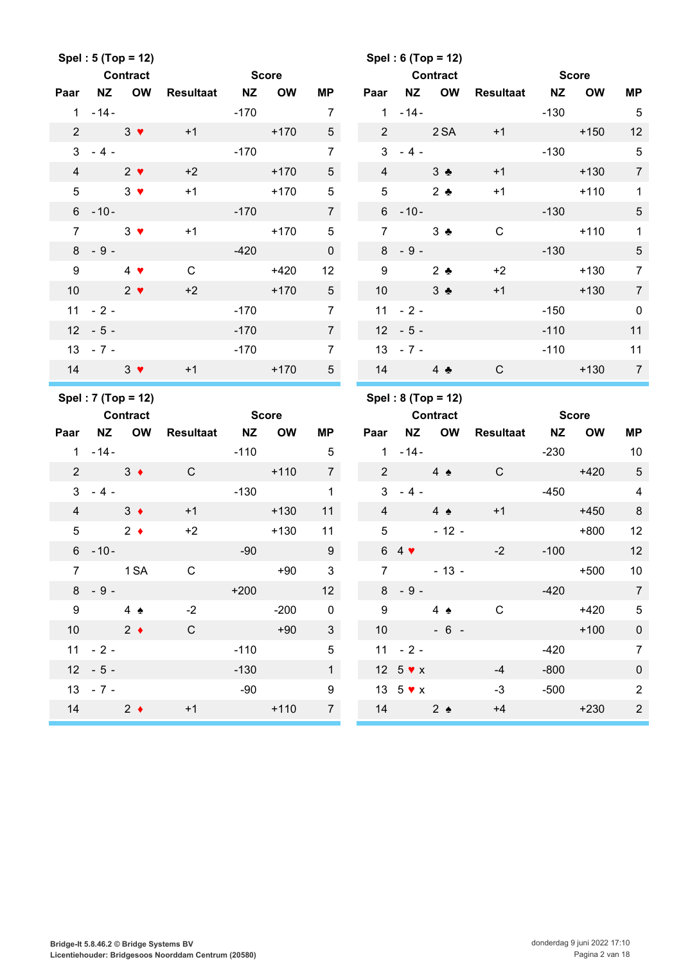|                 |                                                     | Spel: 5 (Top = 12) |              |              |           |                         |                 | Spel: 6 (Top = 12)               |                      |              |                  |              |                 |
|-----------------|-----------------------------------------------------|--------------------|--------------|--------------|-----------|-------------------------|-----------------|----------------------------------|----------------------|--------------|------------------|--------------|-----------------|
|                 |                                                     | <b>Contract</b>    |              | <b>Score</b> |           |                         |                 |                                  | <b>Contract</b>      |              | <b>Score</b>     |              |                 |
| Paar            | <b>NZ</b>                                           | <b>OW</b>          | Resultaat NZ |              | <b>OW</b> | ΜP                      | Paar            | <b>NZ</b>                        | OW                   | Resultaat NZ |                  | <b>OW</b>    | <b>MP</b>       |
|                 | $1 - 14 -$                                          |                    |              | $-170$       |           | $\overline{7}$          | 1               |                                  | $-14-$               |              | $-130$           |              | $-5$            |
| $\overline{2}$  | $3 \sqrt{ }$                                        |                    | $+1$         |              | $+170$    | 5 <sup>5</sup>          | 2 <sup>1</sup>  |                                  | 2 SA                 | $+1$         |                  | $+150$       | 12              |
|                 | $3 - 4 -$                                           |                    |              |              | $-170$    | $\overline{7}$          |                 | $3 - 4 -$                        |                      |              | $-130$           |              | $5\phantom{.0}$ |
| $\overline{4}$  |                                                     | $2 \bullet$        | $+2$         |              | $+170$    | $5\overline{)}$         | $\overline{4}$  |                                  | $3 \bullet$          | $+1$         |                  | $+130$       | $\overline{7}$  |
| $5\phantom{.0}$ | $3 \sqrt{ }$                                        |                    | $+1$         |              | $+170$    | 5                       | $5\phantom{.0}$ |                                  | $2 \bullet$          | $+1$         |                  | $+110$       | $\mathbf{1}$    |
|                 | $6 - 10 -$                                          |                    |              | $-170$       |           | $\overline{7}$          |                 | $6 - 10 -$                       |                      |              | $-130$           |              | $\sqrt{5}$      |
| $\overline{7}$  |                                                     | $3 \bullet$        | $+1$         |              | $+170$    | $\overline{5}$          | $\overline{7}$  |                                  | $3 -$                | $\mathsf{C}$ |                  | $+110$       | $\mathbf{1}$    |
|                 | $8 - 9 -$                                           |                    |              | $-420$       |           | $\overline{0}$          |                 | $8 - 9 -$                        |                      |              | $-130$           |              | $\sqrt{5}$      |
| 9               |                                                     | $4 \bullet$        | $\mathsf C$  |              | $+420$    | 12 <sub>2</sub>         | 9               |                                  | $2$ $\bullet$        | $+2$         |                  | $+130$       | $\overline{7}$  |
| 10 <sup>1</sup> | $\sim$ 2 $\bullet$                                  |                    | $+2$         |              | $+170$    | 5 <sup>5</sup>          | 10 <sup>°</sup> |                                  | $3 -$                | $+1$         |                  | $+130$       | $\overline{7}$  |
|                 | $11 - 2 -$                                          |                    |              | $-170$       |           | $\overline{7}$          |                 | $11 - 2 -$                       |                      |              | $-150$           |              | $\pmb{0}$       |
|                 | $12 - 5 -$                                          |                    |              | $-170$       |           | $7\overline{ }$         |                 | $12 - 5 -$                       |                      |              | $-110$           |              | 11              |
|                 | $13 - 7 -$                                          |                    |              | $-170$       |           | $\overline{7}$          |                 | $13 - 7 -$                       |                      |              | $-110$           |              | 11              |
| 14              | $3 \sqrt{ }$                                        |                    | $+1$         |              | $+170$    | 5 <sup>5</sup>          |                 | 14                               | $4$ $\bullet$        | $\mathsf{C}$ |                  | $+130$       | $\overline{7}$  |
|                 |                                                     |                    |              |              |           |                         |                 |                                  |                      |              |                  |              |                 |
|                 |                                                     | Spel: 7 (Top = 12) |              |              |           |                         |                 |                                  | Spel: $8 (Top = 12)$ |              |                  |              |                 |
|                 | <b>Contract</b>                                     |                    |              | <b>Score</b> |           |                         |                 | <b>Contract</b>                  |                      |              |                  | <b>Score</b> |                 |
| Paar            |                                                     | NZ OW              | Resultaat NZ |              | <b>OW</b> | ΜP                      | Paar            |                                  | NZ OW                | Resultaat NZ |                  | <b>OW</b>    | MP              |
|                 | $1 - 14 -$                                          |                    |              | $-110$       |           | $\overline{5}$          |                 | $1 - 14 -$                       |                      |              | $-230$           |              | 10              |
| $2^{\circ}$     | $3 \bullet$                                         |                    | $\mathsf{C}$ |              | $+110$    | $\overline{7}$          |                 | $2 \left( \frac{1}{2} \right)$   | $4 \triangle$        | $\mathsf{C}$ | <u> Samuel I</u> | $+420$       | $\overline{5}$  |
| 3               | $-4-$                                               |                    |              | $-130$       |           | $\mathbf{1}$            | $\mathbf{3}$    | $-4 -$                           |                      |              | $-450$           |              | $\overline{4}$  |
| $\overline{4}$  | $3 \bullet$                                         |                    | $+1$         |              | $+130$    | 11                      | $\overline{4}$  |                                  | $4 \triangle$        | $+1$         |                  | $+450$       | $\,8\,$         |
| 5               | $\overline{\phantom{a}}$ 2 $\overline{\phantom{a}}$ |                    | $+2$         |              | $+130$    | 11                      | 5               |                                  | $-12 -$              |              |                  | $+800$       | 12              |
|                 | $6 - 10 -$                                          |                    |              | $-90$        |           | 9                       |                 | $64$ $\blacktriangledown$        |                      | $-2$         | $-100$           |              | 12              |
|                 | 7 1 SA                                              |                    | C            |              | $+90$     | $\overline{\mathbf{3}}$ |                 | $7 \quad \overline{\phantom{1}}$ | $-13 -$              |              |                  | $+500$       | 10 <sup>°</sup> |
|                 | $8 - 9 -$                                           |                    |              | $+200$       |           | 12                      |                 | $8 - 9 -$                        |                      |              | $-420$           |              | $\overline{7}$  |
| 9               | $4 \triangle$                                       |                    | $-2$         |              | $-200$    | $\overline{\mathbf{0}}$ |                 | $9 \qquad \qquad$                | $4 \triangle$        | $\mathbf C$  |                  | $+420$       | $\sqrt{5}$      |
| 10 <sup>1</sup> | $\overline{\phantom{a}}$ 2 $\overline{\phantom{a}}$ |                    | $\mathsf{C}$ |              | $+90$     | $\mathbf{3}$            |                 | 10                               | $-6 -$               |              |                  | $+100$       | $\pmb{0}$       |
|                 | $11 - 2 -$                                          |                    |              | $-110$       |           | $5\phantom{.0}$         |                 | $11 - 2 -$                       |                      |              | -420             |              | $\overline{7}$  |
|                 | $12 - 5 -$                                          |                    |              | $-130$       |           | 1                       |                 | 12 $5 \cdot x$                   |                      | $-4$         | $-800$           |              | $\pmb{0}$       |
|                 | $13 - 7 -$                                          |                    |              | $-90$        | $+110$    | 9                       |                 | 13 $5 \vee x$                    |                      | $-3$         | $-500$           |              | $\overline{2}$  |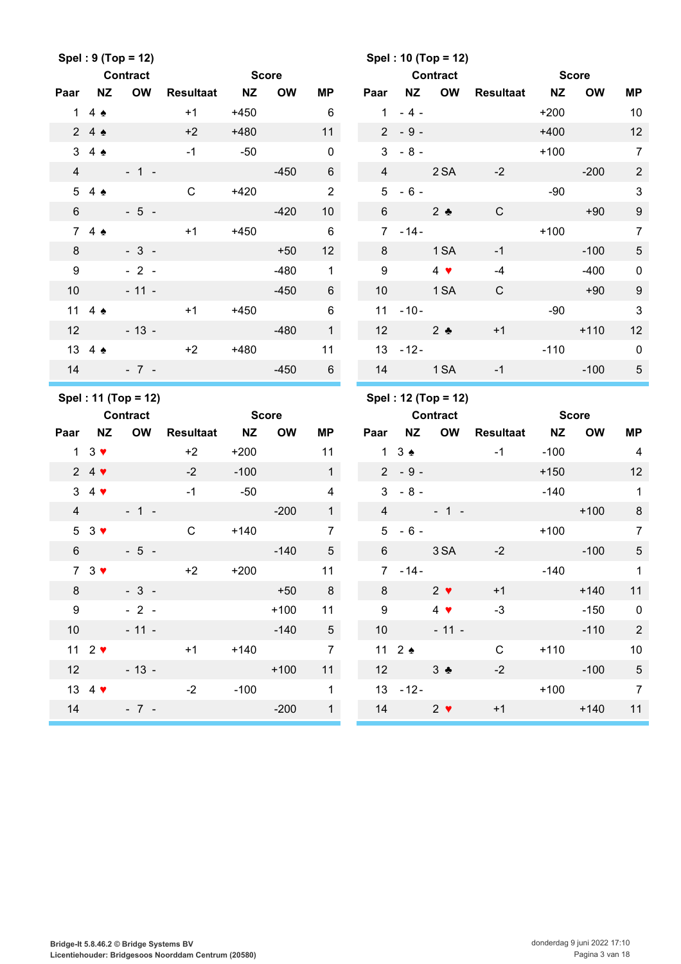|                  |                                 | Spel: $9 (Top = 12)$ |                  |              |           |                 |                 |                             | Spel: 10 (Top = 12) |              |              |              |                         |
|------------------|---------------------------------|----------------------|------------------|--------------|-----------|-----------------|-----------------|-----------------------------|---------------------|--------------|--------------|--------------|-------------------------|
|                  |                                 | <b>Contract</b>      |                  | <b>Score</b> |           |                 |                 |                             | <b>Contract</b>     |              | <b>Score</b> |              |                         |
| Paar             | <b>NZ</b>                       | <b>OW</b>            | <b>Resultaat</b> | <b>NZ</b>    | <b>OW</b> | MP              | Paar            | <b>NZ</b>                   | OW                  | Resultaat    | <b>NZ</b>    | <b>OW</b>    | <b>MP</b>               |
|                  | 1 4 $\bullet$                   |                      | $+1$             | $+450$       |           | 6               | $\mathbf{1}$    | $-4-$                       |                     |              | $+200$       |              | 10                      |
|                  | 24                              |                      | $+2$             | $+480$       |           | 11              |                 | $2 - 9 -$                   |                     |              | $+400$       |              | 12                      |
|                  | $3\quad 4\quad \bullet$         |                      | $-1$             | $-50$        |           | $\mathbf 0$     | 3               | $-8-$                       |                     |              | $+100$       |              | $\overline{7}$          |
| $\overline{4}$   |                                 | $-1 -$               |                  |              | $-450$    | 6               | $\overline{4}$  |                             | 2SA                 | $-2$         |              | $-200$       | $\overline{2}$          |
|                  | 54                              |                      | $\mathsf{C}$     | $+420$       |           | $\overline{2}$  |                 | $5 - 6 -$                   |                     |              | $-90$        |              | $\mathfrak{3}$          |
| $6\phantom{1}$   |                                 | $-5 -$               |                  |              | $-420$    | 10 <sup>1</sup> | $6\overline{6}$ |                             | $2 \bullet$         | $\mathsf{C}$ |              | $+90$        | $\boldsymbol{9}$        |
|                  | 74                              |                      | $+1$             | $+450$       |           | $\,6\,$         |                 | $7 - 14 -$                  |                     |              | $+100$       |              | $\overline{7}$          |
| 8                |                                 | $-3-$                |                  |              | $+50$     | 12 <sup>2</sup> | 8               |                             | 1 SA                | $-1$         |              | $-100$       | $\sqrt{5}$              |
| $\boldsymbol{9}$ |                                 | $-2-$                |                  |              | $-480$    | $\mathbf{1}$    | 9               |                             | $4 \bullet$         | $-4$         |              | $-400$       | $\mathbf 0$             |
| 10               |                                 | $-11 -$              |                  |              | $-450$    | 6               | 10              |                             | 1 <sub>SA</sub>     | $\mathsf{C}$ |              | $+90$        | $\boldsymbol{9}$        |
|                  | 11 4 $\triangle$                |                      | $+1$             | $+450$       |           | $6\phantom{1}$  |                 | $11 - 10 -$                 |                     |              | $-90$        |              | $\mathbf{3}$            |
| 12               |                                 | $-13 -$              |                  |              | $-480$    | 1               | 12              | $2^{\bullet}$               |                     | $+1$         |              | $+110$       | 12                      |
|                  | 13 4 4                          |                      | $+2$             | $+480$       |           | 11              | 13              | $-12-$                      |                     |              | $-110$       |              | $\mathbf 0$             |
|                  |                                 | $14 - 7 -$           |                  |              | $-450$    | $6\overline{6}$ |                 | 14 1 SA                     |                     | $-1$         |              | $-100$       | $\sqrt{5}$              |
|                  |                                 |                      |                  |              |           |                 |                 |                             |                     |              |              |              |                         |
|                  |                                 | Spel: 11 (Top = 12)  |                  |              |           |                 |                 |                             | Spel: 12 (Top = 12) |              |              |              |                         |
|                  |                                 | <b>Contract</b>      |                  | <b>Score</b> |           |                 |                 |                             | <b>Contract</b>     |              |              | <b>Score</b> |                         |
| Paar             | <b>NZ</b>                       | <b>OW</b>            | <b>Resultaat</b> | <b>NZ</b>    | <b>OW</b> | <b>MP</b>       | Paar            | <b>NZ</b>                   | <b>OW</b>           | Resultaat NZ |              | <b>OW</b>    | МP                      |
|                  | $1 \quad 3 \blacktriangleright$ |                      | $+2$             | $+200$       |           | 11              |                 | $1 \quad 3 \Leftrightarrow$ |                     | $-1$         | $-100$       |              | 4                       |
|                  | $24$ $\blacktriangledown$       |                      | $-2$             | $-100$       |           | 1               |                 | $2 - 9 -$                   |                     |              | $+150$       |              | 12                      |
|                  | $3\quad 4$                      |                      | $-1$             | $-50$        |           | 4               | 3               | $-8-$                       |                     |              | $-140$       |              | $\mathbf{1}$            |
| $\overline{4}$   |                                 | $-1 -$               |                  |              | $-200$    | 1               | $\overline{4}$  |                             | $-1 -$              |              |              | $+100$       | $\,8\,$                 |
|                  | $53$ $\blacktriangledown$       |                      | $\mathsf{C}$     | $+140$       |           | $\overline{7}$  | 5               | $-6-$                       |                     |              | $+100$       |              | $\overline{7}$          |
| $\,6\,$          |                                 | $-5 -$               |                  |              | $-140$    | 5               | 6               |                             | 3 SA                | $-2$         |              | $-100$       | $\sqrt{5}$              |
|                  | $73$ $\blacktriangledown$       |                      | $+2$             | $+200$       |           | 11              |                 | $7 - 14 -$                  |                     |              | $-140$       |              | $\overline{1}$          |
| 8                |                                 | $-3 -$               |                  |              | $+50$     | 8               | 8               |                             | $2 \bullet$         | $+1$         |              | $+140$       | 11                      |
| 9                |                                 | $-2 -$               |                  |              | $+100$    | 11              |                 | 9                           | $4 \bullet$         | $-3$         |              | $-150$       | $\overline{\mathbf{0}}$ |
| 10               |                                 | $-11 -$              |                  |              | $-140$    | 5 <sub>5</sub>  |                 | 10                          | $-11 -$             |              |              | $-110$       | $\overline{2}$          |
|                  | 11 $2 \blacktriangledown$       |                      | $+1$             | $+140$       |           | $\overline{7}$  |                 | $11 \quad 2 \triangle$      |                     | $\mathsf C$  |              | $+110$       | 10                      |
|                  | 12                              | $-13 -$              |                  |              | $+100$    | 11              |                 | 12                          | $3 \bullet$         | $-2$         |              | $-100$       | $\sqrt{5}$              |
|                  | 13 4 $\blacktriangledown$       |                      | $-2$             | $-100$       |           | $\mathbf{1}$    |                 | $13 - 12 -$                 |                     |              |              | $+100$       | $\overline{7}$          |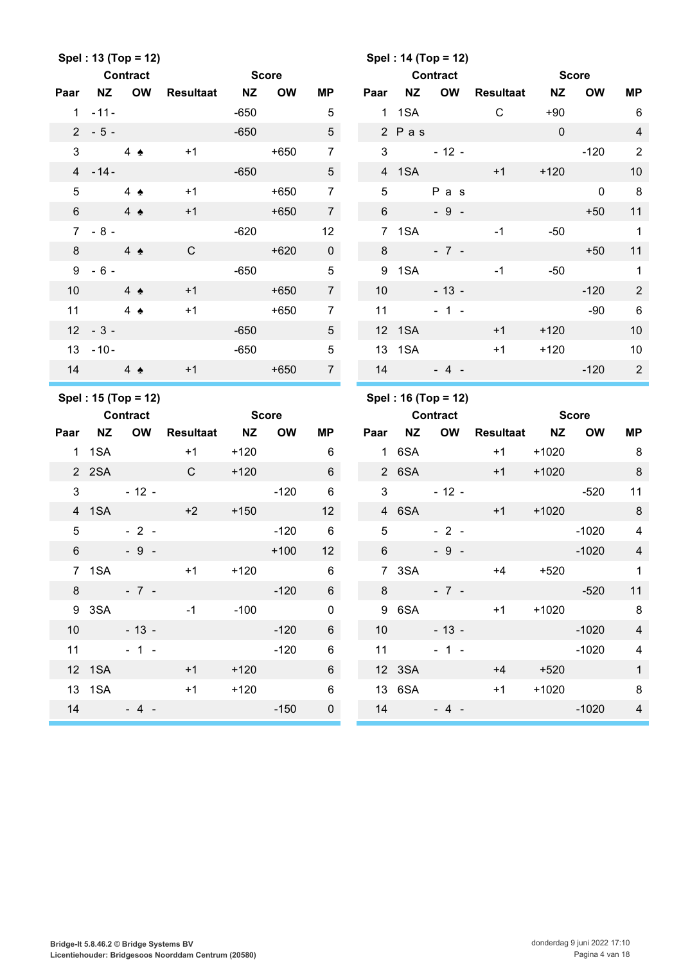|                 |                 | Spel: 13 (Top = 12)      |                  |              |           |                 |                 |                                                                                                                                                                                                                              | Spel: 14 (Top = 12)                    |              |             |              |                            |
|-----------------|-----------------|--------------------------|------------------|--------------|-----------|-----------------|-----------------|------------------------------------------------------------------------------------------------------------------------------------------------------------------------------------------------------------------------------|----------------------------------------|--------------|-------------|--------------|----------------------------|
|                 |                 | <b>Contract</b>          |                  | <b>Score</b> |           |                 |                 |                                                                                                                                                                                                                              | <b>Contract</b>                        |              |             | <b>Score</b> |                            |
| Paar            | <b>NZ</b>       | <b>OW</b>                | <b>Resultaat</b> | <b>NZ</b>    | <b>OW</b> | ΜP              | Paar            | <b>NZ</b>                                                                                                                                                                                                                    | OW                                     | Resultaat    | <b>NZ</b>   | <b>OW</b>    | <b>MP</b>                  |
|                 | $1 - 11 -$      |                          |                  | $-650$       |           | 5               |                 | 1 1 SA                                                                                                                                                                                                                       |                                        | $\mathsf{C}$ | $+90$       |              | 6                          |
|                 | $2 - 5 -$       |                          |                  | $-650$       |           | 5 <sup>5</sup>  |                 | 2 Pas                                                                                                                                                                                                                        |                                        |              | $\mathbf 0$ |              | $\overline{4}$             |
| 3               |                 | $4 \triangle$            | $+1$             |              | $+650$    | $\overline{7}$  | $\mathbf{3}$    |                                                                                                                                                                                                                              | $-12 -$                                |              |             | $-120$       | 2                          |
|                 | $4 - 14 -$      |                          |                  | $-650$       |           | $5\overline{)}$ |                 | 4 1SA                                                                                                                                                                                                                        |                                        | $+1$         | $+120$      |              | 10                         |
| 5               |                 | 4 $\triangle$            | $+1$             |              | $+650$    | $\overline{7}$  | $5\overline{)}$ |                                                                                                                                                                                                                              | P a s                                  |              |             | $\mathbf 0$  | 8                          |
| 6               |                 | $4 \triangle$            | $+1$             |              | $+650$    | $7\overline{ }$ | 6 <sup>1</sup>  |                                                                                                                                                                                                                              | $-9 -$                                 |              |             | $+50$        | 11                         |
|                 | $7 - 8 -$       |                          |                  | $-620$       |           | 12              |                 | 7 1SA                                                                                                                                                                                                                        |                                        | $-1$         | $-50$       |              | $\overline{1}$             |
| 8               |                 | $4 \triangle$            | $\mathsf{C}$     |              | $+620$    | $\mathbf{0}$    | 8               |                                                                                                                                                                                                                              | $-7 -$                                 |              |             | $+50$        | 11                         |
| 9               | $-6-$           |                          |                  | $-650$       |           | $5\phantom{.0}$ |                 | 9 1SA                                                                                                                                                                                                                        |                                        | $-1$         | $-50$       |              | $\mathbf{1}$               |
| 10 <sup>°</sup> | $4 \triangle$   |                          | $+1$             |              | $+650$    | 7 <sup>7</sup>  | 10 <sup>1</sup> |                                                                                                                                                                                                                              | $-13 -$                                |              |             | $-120$       | 2                          |
| 11              |                 | $4 \triangle$            | $+1$             |              | $+650$    | $\overline{7}$  | 11              |                                                                                                                                                                                                                              | $-1 -$                                 |              |             | $-90$        | $\,6\,$                    |
|                 | $12 - 3 -$      |                          |                  | $-650$       |           | 5 <sup>5</sup>  |                 | 12 1SA                                                                                                                                                                                                                       |                                        | $+1$         | $+120$      |              | 10                         |
|                 | $13 - 10 -$     |                          |                  | $-650$       |           | 5               |                 | 13 1SA                                                                                                                                                                                                                       |                                        | $+1$         | $+120$      |              | 10                         |
| 14              | $4 \triangle$   |                          | $+1$             |              | $+650$    | $7\overline{ }$ |                 | 14                                                                                                                                                                                                                           | $-4-$                                  |              |             | $-120$       | $\overline{2}$             |
|                 |                 |                          |                  |              |           |                 |                 |                                                                                                                                                                                                                              |                                        |              |             |              |                            |
|                 |                 |                          |                  |              |           |                 |                 |                                                                                                                                                                                                                              |                                        |              |             |              |                            |
|                 | <b>Contract</b> | Spel: 15 (Top = 12)      |                  | <b>Score</b> |           |                 |                 |                                                                                                                                                                                                                              | Spel: 16 (Top = 12)<br><b>Contract</b> |              |             | <b>Score</b> |                            |
| Paar            | <b>NZ</b>       | <b>OW</b>                | <b>Resultaat</b> | <b>NZ</b>    | <b>OW</b> | ΜP              | Paar            |                                                                                                                                                                                                                              | NZ OW                                  | Resultaat    | <b>NZ</b>   | <b>OW</b>    | MP                         |
|                 | 1 1 SA          |                          | $+1$             | $+120$       |           | 6               |                 | 1 6SA                                                                                                                                                                                                                        |                                        | $+1$         | $+1020$     |              | 8                          |
|                 | 2 2SA           |                          | $\mathsf{C}$     | $+120$       |           | $6\overline{6}$ |                 | 2 6SA                                                                                                                                                                                                                        |                                        | $+1$         | $+1020$     |              | $\,8\,$                    |
| 3               |                 | $-12-$                   |                  |              | $-120$    | 6               | $\mathbf{3}$    |                                                                                                                                                                                                                              | $-12 -$                                |              |             | $-520$       | 11                         |
|                 | 4 1SA           |                          | $+2$             | $+150$       |           | 12 <sup>2</sup> |                 | 4 6SA                                                                                                                                                                                                                        |                                        | $+1$         | $+1020$     |              | 8                          |
| $5\overline{)}$ |                 | $-2-$                    |                  |              | $-120$    | $6\phantom{1}6$ | $5\overline{)}$ |                                                                                                                                                                                                                              | $-2 -$                                 |              |             | $-1020$      | 4                          |
| $\,6\,$         |                 | $-9 -$                   |                  |              | $+100$    | 12              | 6               |                                                                                                                                                                                                                              | $-9 -$                                 |              |             | $-1020$      | $\overline{4}$             |
|                 |                 | 7 1SA                    | $+1$ $+120$      |              |           | 6               |                 |                                                                                                                                                                                                                              | 7 3SA                                  |              | $+4$ $+520$ |              | $\overline{1}$             |
|                 |                 | $8 - 7 -$                |                  |              | $-120$    | $6\overline{6}$ |                 |                                                                                                                                                                                                                              | $8 - 7 -$                              |              |             | $-520$       | 11                         |
|                 |                 | 9 3SA 9 10 10 11 12      | $-1$             |              | $-100$    | $\mathbf 0$     |                 |                                                                                                                                                                                                                              | 9 6SA 2002                             | $+1$         | $+1020$     |              | $\overline{\phantom{0}}$ 8 |
|                 |                 | $10 - 13 -$              |                  |              | $-120$    | $6\overline{6}$ |                 | 10                                                                                                                                                                                                                           | $-13 -$                                |              |             | $-1020$      | $\overline{4}$             |
|                 |                 | $11 - 1 -$               |                  |              | $-120$    | 6               |                 | $11$ and $11$ and $11$ and $11$ and $11$ and $11$ and $11$ and $11$ and $11$ and $11$ and $11$ and $11$ and $11$ and $11$ and $11$ and $11$ and $11$ and $11$ and $11$ and $11$ and $11$ and $11$ and $11$ and $11$ and $11$ | $-1 -$                                 |              |             | $-1020$      | $\overline{\mathbf{4}}$    |
|                 |                 | 12 1SA <b>Particular</b> | $+1$             | $+120$       |           | $6\overline{6}$ |                 |                                                                                                                                                                                                                              | 12 3SA 2007                            |              | $+4$ $+520$ |              | $\mathbf{1}$               |
|                 | 13 1SA          |                          | $+1$             | $+120$       |           | $6\phantom{.}6$ |                 |                                                                                                                                                                                                                              |                                        | $+1$         |             | $+1020$      | 8                          |
|                 |                 | $14 - 4 -$               |                  |              | $-150$    | $\overline{0}$  |                 |                                                                                                                                                                                                                              | $14 - 4 -$                             |              |             | $-1020$ 4    |                            |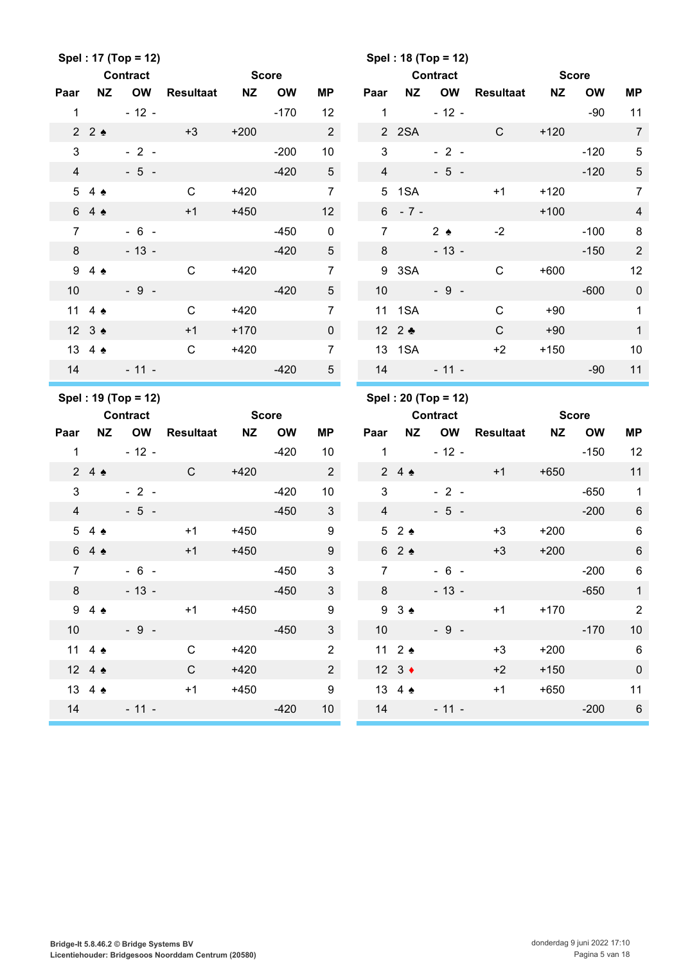|                |                  | Spel: 17 (Top = 12) |                  |              |           |                  |      |                |                      | Spel: 18 (Top = 12) |                  |           |              |                 |
|----------------|------------------|---------------------|------------------|--------------|-----------|------------------|------|----------------|----------------------|---------------------|------------------|-----------|--------------|-----------------|
|                |                  | <b>Contract</b>     |                  | <b>Score</b> |           |                  |      |                |                      | <b>Contract</b>     |                  |           | <b>Score</b> |                 |
| Paar           | <b>NZ</b>        | <b>OW</b>           | <b>Resultaat</b> | <b>NZ</b>    | <b>OW</b> | <b>MP</b>        | Paar |                | <b>NZ</b>            | OW                  | <b>Resultaat</b> | <b>NZ</b> | <b>OW</b>    | <b>MP</b>       |
| $\mathbf{1}$   |                  | $-12 -$             |                  |              | $-170$    | 12               |      | $\mathbf{1}$   |                      | $-12 -$             |                  |           | $-90$        | 11              |
|                | 22               |                     | $+3$             | $+200$       |           | $\overline{2}$   |      |                | 2 2 SA               |                     | $\mathsf{C}$     | $+120$    |              | $\overline{7}$  |
| 3              |                  | $-2-$               |                  |              | $-200$    | 10               |      | 3              |                      | $-2-$               |                  |           | $-120$       | $\sqrt{5}$      |
| $\overline{4}$ |                  | $-5 -$              |                  |              | $-420$    | $5\phantom{.0}$  |      | $\overline{4}$ |                      | $-5 -$              |                  |           | $-120$       | $\sqrt{5}$      |
|                | 54               |                     | $\mathsf{C}$     | $+420$       |           | $\overline{7}$   |      |                | 5 1SA                |                     | $+1$             | $+120$    |              | $\overline{7}$  |
|                | 64               |                     | $+1$             | $+450$       |           | 12               |      |                | $6 - 7 -$            |                     |                  | $+100$    |              | $\overline{4}$  |
| $\overline{7}$ |                  | $-6 -$              |                  |              | $-450$    | $\mathbf 0$      |      | $\overline{7}$ |                      | $2 \triangle$       | $-2$             |           | $-100$       | 8               |
| 8              |                  | $-13 -$             |                  |              | $-420$    | $5\phantom{.0}$  |      | 8              |                      | $-13 -$             |                  |           | $-150$       | $\sqrt{2}$      |
| 9              | $4 \triangle$    |                     | $\mathsf{C}$     | $+420$       |           | $\overline{7}$   |      |                | 9 3SA                |                     | $\mathsf{C}$     | $+600$    |              | 12              |
| 10             |                  | $-9 -$              |                  |              | $-420$    | $5\phantom{.0}$  |      | 10             |                      | $-9 -$              |                  |           | $-600$       | $\pmb{0}$       |
|                | 11 4 $\triangle$ |                     | $\mathsf{C}$     | $+420$       |           | $\overline{7}$   |      |                | 11 1SA               |                     | $\mathsf{C}$     | $+90$     |              | $\mathbf{1}$    |
|                | 12 3 ♦           |                     | $+1$             | $+170$       |           | $\mathbf 0$      |      |                | 12 $2$ $\bullet$     |                     | $\mathsf{C}$     | $+90$     |              | $\mathbf{1}$    |
|                | 13 4 4           |                     | $\mathsf{C}$     | $+420$       |           | $\overline{7}$   |      | 13             | 1SA                  |                     | $+2$             | $+150$    |              | 10              |
| 14             |                  | $-11 -$             |                  |              | $-420$    | 5 <sup>5</sup>   |      |                | 14                   | $-11 -$             |                  |           | $-90$        | 11              |
|                |                  |                     |                  |              |           |                  |      |                |                      |                     |                  |           |              |                 |
|                |                  | Spel: 19 (Top = 12) |                  |              |           |                  |      |                |                      | Spel: 20 (Top = 12) |                  |           |              |                 |
|                |                  | <b>Contract</b>     |                  | <b>Score</b> |           |                  |      |                |                      | <b>Contract</b>     |                  |           | <b>Score</b> |                 |
| Paar           | <b>NZ</b>        | <b>OW</b>           | <b>Resultaat</b> | <b>NZ</b>    | <b>OW</b> | <b>MP</b>        | Paar |                | <b>NZ</b>            | OW                  | <b>Resultaat</b> | <b>NZ</b> | <b>OW</b>    | <b>MP</b>       |
| $\mathbf{1}$   |                  | $-12 -$             |                  |              | $-420$    | 10               |      | $\mathbf{1}$   |                      | $-12 -$             |                  |           | $-150$       | 12              |
|                | 24               |                     | $\mathsf{C}$     | $+420$       |           | $\overline{2}$   |      |                | 24                   |                     | $+1$             | $+650$    |              | 11              |
| 3              |                  | $-2-$               |                  |              | $-420$    | 10               |      | 3              |                      | $-2 -$              |                  |           | $-650$       | $\mathbf{1}$    |
| 4              |                  | $-5 -$              |                  |              | $-450$    | 3                |      | $\overline{4}$ |                      | $-5 -$              |                  |           | $-200$       | $\,6\,$         |
|                | 54 <sub>2</sub>  |                     | $+1$             | $+450$       |           | $\boldsymbol{9}$ |      | 5              | $2 \triangle$        |                     | $+3$             | $+200$    |              | $\,6$           |
|                | 64               |                     | $+1$             | $+450$       |           | $\boldsymbol{9}$ |      | $6\phantom{.}$ | $2 \triangle$        |                     | $+3$             | $+200$    |              | $\,6$           |
| $\overline{7}$ |                  | $-6 -$              |                  |              | $-450$    | $\mathbf{3}$     |      | $\overline{7}$ |                      | $-6 -$              |                  |           | $-200$       | 6               |
| $8 -$          |                  | $-13 -$             |                  |              | $-450$    | $\mathbf{3}$     |      | 8              |                      | $-13 -$             |                  |           | $-650$       | $\mathbf{1}$    |
|                | $94 \triangle$   |                     | $+1$             | $+450$       |           | $9\,$            |      |                | $9 \t3$              |                     | $+1$             | $+170$    |              | $\overline{2}$  |
| 10             |                  | $-9 -$              |                  |              | $-450$    | $\mathbf{3}$     |      | 10             |                      | $-9-$               |                  |           | $-170$       | $10$            |
|                | 11 4 $\triangle$ |                     | $\mathbf C$      | +420         |           | $\overline{2}$   |      |                | 11 $2 \triangleleft$ |                     | $+3$             | $+200$    |              | $6\phantom{1}6$ |
|                | 12 4 $\triangle$ |                     | $\mathbf C$      | $+420$       |           | $\overline{2}$   |      |                | 12 $3 \div$          |                     | $+2$             | $+150$    |              | $\pmb{0}$       |
|                | 13 4 4           |                     | $+1$             | $+450$       |           | $\boldsymbol{9}$ |      |                | 13 4 $\triangle$     |                     | $+1$             | $+650$    |              | 11              |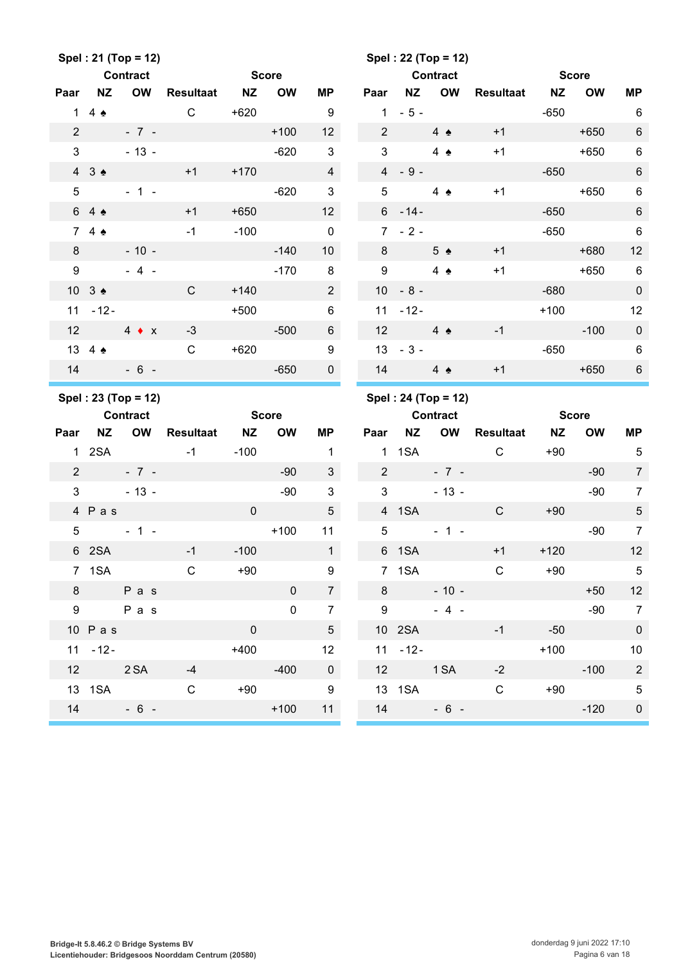|                 |                      | Spel: 21 (Top = 12) |                     |                |             |                  |                |                  | Spel: 22 (Top = 12)  |              |           |              |                 |
|-----------------|----------------------|---------------------|---------------------|----------------|-------------|------------------|----------------|------------------|----------------------|--------------|-----------|--------------|-----------------|
|                 |                      | Contract            |                     | <b>Score</b>   |             |                  |                |                  | <b>Contract</b>      |              |           | <b>Score</b> |                 |
| Paar            | <b>NZ</b>            | <b>OW</b>           | Resultaat           | <b>NZ</b>      | <b>OW</b>   | MP               | Paar           | NZ               | OW                   | Resultaat NZ |           | <b>OW</b>    | <b>MP</b>       |
|                 | 1 4 $\triangle$      |                     | $\mathsf{C}$        | $+620$         |             | 9                |                | $1 - 5 -$        |                      |              | $-650$    |              | 6               |
| $\overline{2}$  |                      | $-7 -$              |                     |                | $+100$      | 12 <sup>2</sup>  | $\overline{2}$ |                  | $4 \triangle$        | $+1$         |           | $+650$       | $\,6$           |
| $\mathbf{3}$    |                      | $-13 -$             |                     |                | $-620$      | $\mathbf{3}$     | 3              |                  | $4 \triangle$        | $+1$         |           | $+650$       | $\,6\,$         |
|                 | 43 <sub>2</sub>      |                     | $+1$                | $+170$         |             | $\overline{4}$   |                | $4 - 9 -$        |                      |              | $-650$    |              | $\,6$           |
| $5\phantom{.0}$ |                      | $-1 -$              |                     |                | $-620$      | $\mathbf{3}$     | 5              |                  | $4 \triangle$        | $+1$         |           | $+650$       | $6\phantom{1}$  |
|                 | 6 4 ↑                |                     | $+1$                | $+650$         |             | 12 <sup>2</sup>  |                | $6 - 14 -$       |                      |              | $-650$    |              | $\,6\,$         |
|                 | 74                   |                     | $-1$                | $-100$         |             | $\mathbf 0$      |                | $7 - 2 -$        |                      |              | $-650$    |              | $\,6$           |
| 8               |                      | $-10 -$             |                     |                | $-140$      | 10 <sup>1</sup>  | 8              |                  | $5 \triangle$        | $+1$         |           | $+680$       | 12              |
| 9               |                      | $-4 -$              |                     |                | $-170$      | 8                | 9              |                  | 4 $\triangle$        | $+1$         |           | $+650$       | 6               |
|                 | 10 $3 \triangleleft$ |                     | $\mathsf{C}$        | $+140$         |             | $2^{\circ}$      |                | $10 - 8 -$       |                      |              | $-680$    |              | $\pmb{0}$       |
|                 | $11 - 12 -$          |                     |                     | $+500$         |             | $6\phantom{1}$   |                | $11 - 12 -$      |                      |              | $+100$    |              | 12              |
| 12              |                      | $4 \bullet x$       | $-3$                |                | $-500$      | $6\overline{6}$  | 12             | $4 \triangle$    |                      | $-1$         |           | $-100$       | $\pmb{0}$       |
|                 | 13 4 $\triangle$     |                     | $\mathsf{C}$        | $+620$         |             | $\boldsymbol{9}$ |                | $13 - 3 -$       |                      |              | $-650$    |              | $6\phantom{1}6$ |
|                 |                      | $14 - 6 -$          |                     |                | $-650$      | $\mathbf 0$      |                |                  | $14 \quad 4 \bullet$ | $+1$         |           | $+650$       | 6               |
|                 |                      |                     |                     |                |             |                  |                |                  |                      |              |           |              |                 |
|                 |                      | Spel: 23 (Top = 12) |                     |                |             |                  |                |                  | Spel: 24 (Top = 12)  |              |           |              |                 |
|                 | <b>Contract</b>      |                     | <b>Score</b> Score  |                |             |                  |                |                  | <b>Contract</b>      |              |           | <b>Score</b> |                 |
| Paar            | <b>NZ</b>            | <b>OW</b>           | <b>Resultaat NZ</b> |                | <b>OW</b>   | <b>MP</b>        | Paar           | <b>NZ</b>        | OW                   | Resultaat    | <b>NZ</b> | <b>OW</b>    | MP              |
|                 |                      |                     | $-1$ $-1$           | -100           |             | $\mathbf{1}$     |                | 1 1 SA           |                      | $\mathsf{C}$ | $+90$     |              | $\sqrt{5}$      |
| $\overline{2}$  |                      | $-7 -$              |                     |                | $-90$       | $\mathbf{3}$     | $\overline{2}$ |                  | $-7 -$               |              |           | $-90$        | $\overline{7}$  |
| 3               |                      | $-13-$              |                     |                | $-90$       | $\mathbf{3}$     | 3              |                  | $-13 -$              |              |           | $-90$        | $\overline{7}$  |
|                 | 4 Pas                |                     |                     | $\mathbf 0$    |             | $\overline{5}$   |                | 4 1SA            |                      | $\mathsf{C}$ | $+90$     |              | $\sqrt{5}$      |
| 5               |                      | $-1 -$              |                     |                | $+100$      | 11               | 5              |                  | $-1 -$               |              |           | $-90$        | $\overline{7}$  |
|                 | 6 2SA                |                     | $-1$                | $-100$         |             | 1                |                | 6 1SA            |                      | $+1$         | $+120$    |              | 12              |
|                 | 7 1SA                |                     | $\mathsf{C}$        | $+90$          |             | 9                |                |                  | 7 1 SA               | C            | $+90$     |              | $5\overline{)}$ |
|                 |                      | $8$ Pas             |                     |                | $\pmb{0}$   | 7 <sup>7</sup>   |                | $8 \overline{3}$ | $-10 -$              |              |           | $+50$        | 12              |
|                 |                      | 9 Pas               |                     |                | $\mathbf 0$ | $\overline{7}$   |                | 9                | $-4 -$               |              |           | $-90$        | $\overline{7}$  |
|                 | $10$ Pas             |                     |                     | $\overline{0}$ |             | $5\phantom{.0}$  |                | 10 2SA           |                      | $-1$         | $-50$     |              | $\pmb{0}$       |
|                 | $11 - 12 -$          |                     |                     | $+400$         |             | 12 <sup>°</sup>  |                | $11 - 12 -$      |                      |              | $+100$    |              | 10              |
|                 |                      | 12 2 SA -4          |                     |                | $-400$      | $\overline{0}$   |                |                  | 12 1 SA              | $-2$         |           | $-100$       | $\overline{2}$  |
|                 |                      | 13 1SA              | $\mathsf C$         |                | $+90$       | $\overline{9}$   |                |                  |                      | $\mathsf C$  |           | $+90$        | $\sqrt{5}$      |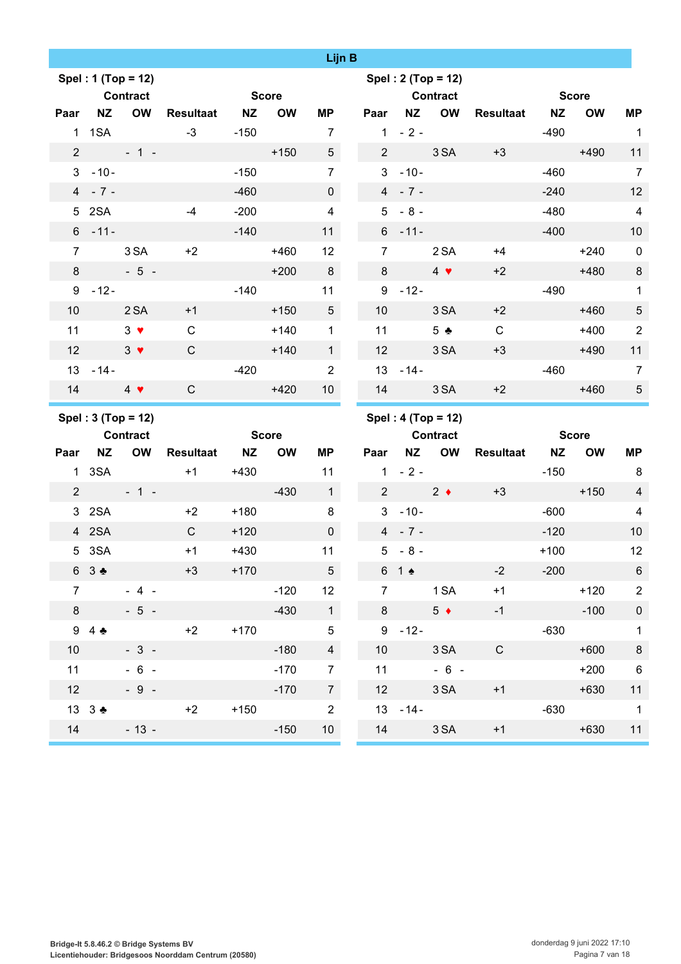|                 |                |                    |                  |              |           | Lijn B          |                 |                                |                    |                    |        |              |                 |
|-----------------|----------------|--------------------|------------------|--------------|-----------|-----------------|-----------------|--------------------------------|--------------------|--------------------|--------|--------------|-----------------|
|                 |                | Spel: 1 (Top = 12) |                  |              |           |                 |                 |                                | Spel: 2 (Top = 12) |                    |        |              |                 |
|                 |                | <b>Contract</b>    |                  | <b>Score</b> |           |                 |                 |                                | <b>Contract</b>    | <b>Score</b> Score |        |              |                 |
| Paar            | NZ             | <b>OW</b>          | Resultaat NZ     |              | <b>OW</b> | MP              |                 |                                | Paar NZ OW         | Resultaat NZ       |        | <b>OW</b>    | <b>MP</b>       |
|                 | 1 1 SA         |                    | $-3$             | $-150$       |           | $\overline{7}$  |                 | $1 - 2 -$                      |                    |                    | $-490$ |              | $\overline{1}$  |
|                 |                | $2 + 1 -$          |                  |              | $+150$    | $5\overline{)}$ |                 | $2 \left( \frac{1}{2} \right)$ | 3SA                | $+3$               |        | $+490$       | 11              |
|                 | $3 - 10 -$     |                    |                  | $-150$       |           | $\overline{7}$  | 3 <sup>1</sup>  | $-10-$                         |                    |                    | $-460$ |              | $\overline{7}$  |
|                 | $4 - 7 -$      |                    |                  | $-460$       |           | $\mathsf{O}$    |                 | $4 - 7 -$                      |                    |                    | $-240$ |              | 12              |
|                 | 5 2SA          |                    | $-4$             | $-200$       |           | $\overline{4}$  | 5 <sup>5</sup>  | $-8-$                          |                    |                    | $-480$ |              | $\overline{4}$  |
|                 | $6 - 11 -$     |                    |                  | $-140$       |           | 11              |                 | $6 - 11 -$                     |                    |                    | $-400$ |              | 10              |
| $\overline{7}$  |                | 3 SA               | $+2$             |              | $+460$    | 12              | $7^{\circ}$     |                                | 2 SA               | $+4$               |        | $+240$       | $\mathbf 0$     |
| 8               |                | $-5-$              |                  |              | $+200$    | 8               | 8               |                                | $4 \bullet$        | $+2$               |        | $+480$       | $\,8\,$         |
|                 | $9 - 12 -$     |                    |                  | $-140$       |           | 11              |                 | $9 - 12 -$                     |                    |                    | $-490$ |              | $\mathbf{1}$    |
| 10 <sup>°</sup> |                | 2 SA               | $+1$             |              | $+150$    | $5\overline{)}$ | 10 <sup>1</sup> |                                | 3 SA               | $+2$               |        | $+460$       | $\sqrt{5}$      |
| 11              |                | $3 \bullet$        | $\mathsf{C}$     |              | $+140$    | $\mathbf{1}$    | 11              |                                | 5 <sub>2</sub>     | $\mathsf{C}$       |        | $+400$       | $\overline{2}$  |
| 12 <sup>2</sup> |                | $3 \bullet$        | $\mathsf{C}$     |              | $+140$    | 1               | 12              |                                | 3 SA               | $+3$               |        | $+490$       | 11              |
|                 | $13 - 14 -$    |                    |                  | $-420$       |           | $\overline{2}$  |                 | $13 - 14 -$                    |                    |                    | $-460$ |              | $\overline{7}$  |
| 14              | $\overline{4}$ |                    | $\mathsf{C}$     |              | $+420$    | 10 <sup>1</sup> | 14              |                                | 3 SA               | $+2$               |        | $+460$       | $\sqrt{5}$      |
|                 |                |                    |                  |              |           |                 |                 |                                |                    |                    |        |              |                 |
|                 |                | Spel: 3 (Top = 12) |                  |              |           |                 |                 |                                | Spel: 4 (Top = 12) |                    |        |              |                 |
|                 |                | <b>Contract</b>    |                  | <b>Score</b> |           |                 |                 |                                | <b>Contract</b>    |                    |        | <b>Score</b> |                 |
| Paar            | <b>NZ</b>      | <b>OW</b>          | <b>Resultaat</b> | <b>NZ</b>    | <b>OW</b> | <b>MP</b>       | Paar            |                                | NZ OW              | Resultaat NZ       |        | <b>OW</b>    | MP              |
|                 | 1 3SA          |                    | $+1$             | $+430$       |           | 11              |                 | $1 - 2 -$                      |                    |                    | $-150$ |              | 8               |
| $2^{\circ}$     |                | $-1 -$             |                  |              | $-430$    | $\mathbf{1}$    | 2 <sup>1</sup>  |                                | $2 \bullet$        | $+3$               |        | $+150$       | $\overline{4}$  |
|                 | 3 2SA          |                    | $+2$             | $+180$       |           | 8               |                 | $3 - 10 -$                     |                    |                    | $-600$ |              | $\overline{4}$  |
|                 | 4 2SA          |                    | $\mathsf{C}$     | $+120$       |           | $\mathsf{O}$    |                 | $4 - 7 -$                      |                    |                    | $-120$ |              | 10              |
|                 | 5 3SA          |                    | $+1$             | $+430$       |           | 11              |                 | $5 - 8 -$                      |                    |                    | $+100$ |              | 12              |
|                 | 6 3 ♣          |                    | $+3$             | $+170$       |           | $5\phantom{.0}$ |                 | $6 \t1$                        |                    | $-2$               | $-200$ |              | 6               |
| $\overline{7}$  |                | $-4 -$             |                  |              | $-120$    | 12              | $\overline{7}$  |                                | 1 SA               | $+1$               |        | $+120$       | $\overline{2}$  |
| 8               |                | $-5 -$             |                  |              | $-430$    | 1               | 8               |                                | $5 \bullet$        | $-1$               |        | $-100$       | $\pmb{0}$       |
|                 | 94             |                    | $+2$             | $+170$       |           | $\sqrt{5}$      |                 | $9 - 12 -$                     |                    |                    | $-630$ |              | $\mathbf{1}$    |
| 10 <sup>°</sup> |                | $-3 -$             |                  |              | $-180$    | $\overline{4}$  | 10 <sup>1</sup> |                                | 3SA                | $\mathbf C$        |        | $+600$       | $\bf 8$         |
| 11              |                | $-6 -$             |                  |              | $-170$    | $\overline{7}$  | 11              |                                | $-6 -$             |                    |        | $+200$       | $6\phantom{1}6$ |
| 12              |                | $-9 -$             |                  |              | $-170$    | $\overline{7}$  | 12 <sup>°</sup> |                                | 3 SA               | $+1$               |        | $+630$       | 11              |
|                 | 13 3 ♣         |                    | $+2$             | $+150$       |           | $\overline{2}$  |                 | $13 - 14 -$                    |                    |                    | $-630$ |              | $\overline{1}$  |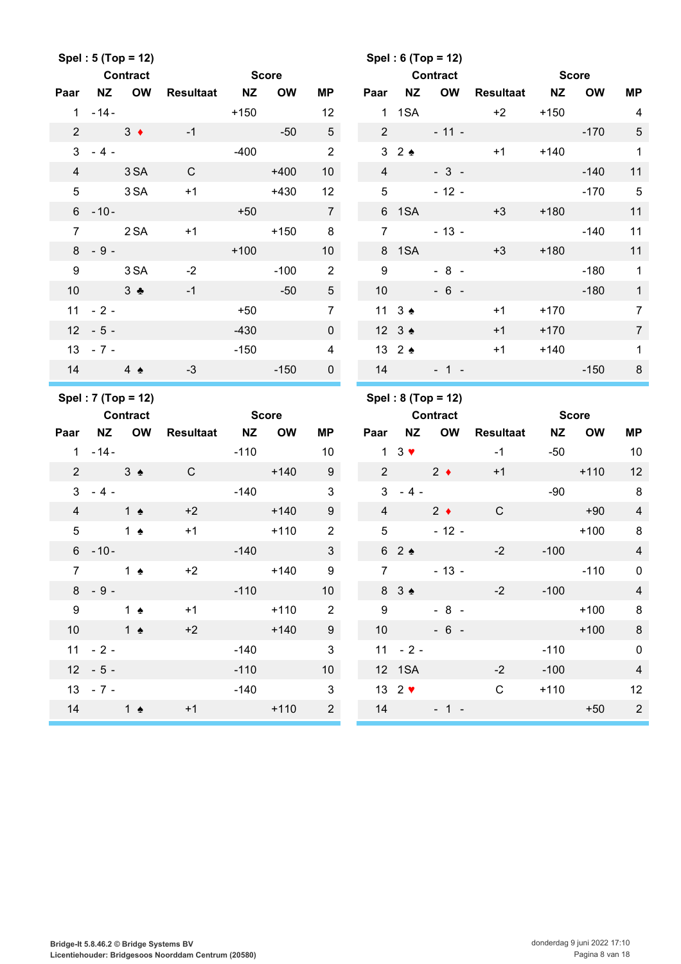|                 |                      | Spel: 5 (Top = 12) |                 |              |           |                          |                 |                                | Spel: $6 (Top = 12)$     |              |              |              |                |
|-----------------|----------------------|--------------------|-----------------|--------------|-----------|--------------------------|-----------------|--------------------------------|--------------------------|--------------|--------------|--------------|----------------|
|                 |                      | <b>Contract</b>    |                 | <b>Score</b> |           |                          |                 |                                | <b>Contract</b>          |              | <b>Score</b> |              |                |
| Paar            |                      | NZ OW              | Resultaat NZ    |              | <b>OW</b> | ΜP                       | Paar            | <b>NZ</b>                      | OW                       | Resultaat NZ |              | <b>OW</b>    | <b>MP</b>      |
|                 | $1 - 14 -$           |                    |                 | $+150$       |           | 12                       |                 |                                | $1 \t1SA$                | $+2$         | $+150$       |              | $\overline{4}$ |
| $\overline{2}$  | $3 \bullet$          |                    | $-1$            |              | $-50$     | $5\overline{)}$          |                 | $2 \left( \frac{1}{2} \right)$ |                          | $-11 -$      |              | $-170$       | $\sqrt{5}$     |
|                 | $3 - 4 -$            |                    |                 |              | $-400$    | $\overline{2}$           |                 |                                | $3\quad 2 \quad \bullet$ | $+1$         |              | $+140$       | $\mathbf{1}$   |
| $\overline{4}$  |                      | 3 SA               | $\mathsf{C}$    |              | $+400$    | 10 <sup>°</sup>          | $\overline{4}$  |                                | $-3-$                    |              |              | $-140$       | 11             |
| $5\phantom{.0}$ |                      | 3 SA               | $+1$            |              | $+430$    | 12                       | $5\overline{)}$ |                                | $-12 -$                  |              |              | $-170$       | $\sqrt{5}$     |
|                 | $6 - 10 -$           |                    |                 | $+50$        |           | $\overline{7}$           |                 | 6 1SA                          |                          | $+3$         | $+180$       |              | 11             |
| $\overline{7}$  |                      | 2 SA               | $+1$            |              | $+150$    | 8                        | $\overline{7}$  |                                | $-13 -$                  |              |              | $-140$       | 11             |
|                 | $8 - 9 -$            |                    |                 | $+100$       |           | 10 <sup>°</sup>          |                 | 8 1SA                          |                          | $+3$         | $+180$       |              | 11             |
| 9               |                      | 3 SA               | $-2$            |              | $-100$    | $\overline{2}$           | 9               |                                | $-8 -$                   |              |              | $-180$       | $\overline{1}$ |
| 10 <sup>°</sup> | $3 \bullet$          |                    | $-1$            | $-50$        |           | 5 <sup>5</sup>           | 10              |                                | $-6 -$                   |              |              | $-180$       | $\overline{1}$ |
|                 | $11 - 2 -$           |                    |                 | $+50$        |           | $\overline{7}$           |                 | 11 $3 \triangleleft$           |                          | $+1$         | $+170$       |              | $\overline{7}$ |
|                 | $12 - 5 -$           |                    |                 | $-430$       |           | $\mathbf 0$              |                 | $12 \quad 3 \div$              |                          | $+1$         | $+170$       |              | $\overline{7}$ |
|                 | $13 - 7 -$           |                    |                 | $-150$       |           | $\overline{4}$           |                 | 13 $2 \triangleleft$           |                          | $+1$         | $+140$       |              | $\mathbf{1}$   |
|                 | $14 \quad 4 \bullet$ |                    | $-3$            |              | $-150$    | $\mathbf{0}$             |                 |                                | $14 - 1 -$               |              |              | $-150$       | $\,8\,$        |
|                 |                      |                    |                 |              |           |                          |                 |                                |                          |              |              |              |                |
|                 |                      | Spel: 7 (Top = 12) |                 |              |           |                          |                 |                                | Spel: $8 (Top = 12)$     |              |              |              |                |
|                 | <b>Contract</b>      |                    |                 | <b>Score</b> |           |                          |                 |                                | <b>Contract</b>          |              |              | <b>Score</b> |                |
| Paar            |                      | NZ OW              | Resultaat NZ OW |              |           | ΜP                       | Paar            |                                | NZ OW                    | Resultaat    | <b>NZ</b>    | <b>OW</b>    | MP             |
|                 | $1 - 14 -$           |                    |                 | $-110$       |           | 10                       |                 |                                | $1 \quad 3 \quad \vee$   | $-1$         | $-50$        |              | 10             |
|                 | $2 \t3$              |                    | $\mathsf{C}$    |              | $+140$    | 9                        |                 | 2 2 $\bullet$                  |                          | $+1$         |              | $+110$       | 12             |
| $\mathbf{3}$    | $-4-$                |                    |                 |              | $-140$    | $\mathbf{3}$             |                 | $3 - 4 -$                      |                          |              | $-90$        |              | 8              |
| $\overline{4}$  | $1 \triangle$        |                    | $+2$            |              | $+140$    | 9                        | $\overline{4}$  |                                | $2 \leftarrow$           | $\mathsf{C}$ |              | $+90$        | $\overline{4}$ |
| $5\phantom{.0}$ |                      | 1 $\triangle$      | $+1$            |              | $+110$    | 2                        | 5               |                                | $-12 -$                  |              |              | $+100$       | 8              |
|                 | $6 - 10 -$           |                    |                 | $-140$       |           | $\mathbf{3}$             |                 | 62                             |                          | $-2$         | $-100$       |              | $\overline{4}$ |
| $\overline{7}$  |                      | 1 ♠                | $+2$            |              | $+140$    | 9                        | 7 <sup>7</sup>  |                                | $-13 -$                  |              |              | $-110$       | $\overline{0}$ |
| 8               | $-9-$                |                    |                 | $-110$       |           | 10 <sup>1</sup>          |                 | $8 \t3$ $\bullet$              |                          | $-2$         | $-100$       |              | $\overline{4}$ |
| 9               | $1 \bullet$          |                    | $+1$            |              | $+110$    | $\overline{\phantom{a}}$ | 9               |                                | $-8 -$                   |              |              | $+100$       | $\bf 8$        |
| 10              | $\frac{1}{2}$        |                    | $+2$            |              | $+140$    | 9                        |                 | 10                             | $-6 -$                   |              |              | $+100$       | $\,$ 8 $\,$    |
|                 | $11 - 2 -$           |                    |                 | $-140$       |           | $\mathbf{3}$             |                 | $11 - 2 -$                     |                          |              | $-110$       |              | $\pmb{0}$      |
|                 | $12 - 5 -$           |                    |                 | $-110$       |           | 10 <sup>1</sup>          |                 | 12 1SA                         |                          | $-2$         | $-100$       |              | $\overline{4}$ |
|                 | $13 - 7 -$           |                    |                 | $-140$       |           | $\mathbf{3}$             |                 | 13 $2$ $\blacktriangledown$    |                          | $\mathsf C$  | $+110$       |              | 12             |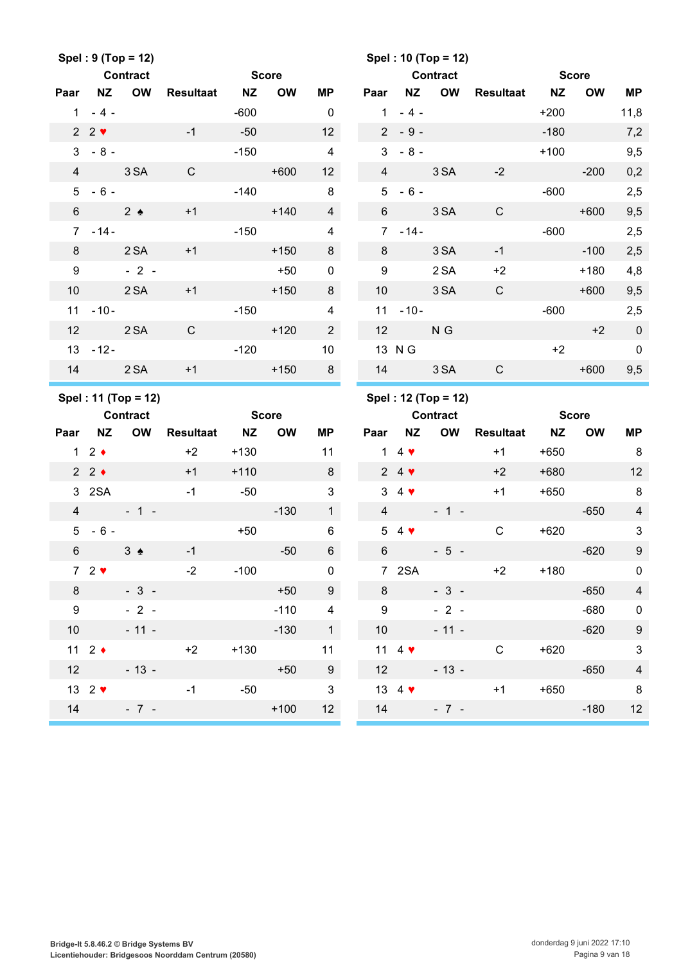|                 |                            | Spel: 9 (Top = 12)                     |                  |              |           |                 |                 |                           | Spel: 10 (Top = 12)                    |                     |              |              |                         |
|-----------------|----------------------------|----------------------------------------|------------------|--------------|-----------|-----------------|-----------------|---------------------------|----------------------------------------|---------------------|--------------|--------------|-------------------------|
|                 |                            | <b>Contract</b>                        |                  | <b>Score</b> |           |                 |                 |                           | <b>Contract</b>                        |                     | <b>Score</b> |              |                         |
| Paar            | <b>NZ</b>                  | <b>OW</b>                              | <b>Resultaat</b> | <b>NZ</b>    | <b>OW</b> | MP              | Paar            | <b>NZ</b>                 | OW                                     | Resultaat NZ        |              | OW           | <b>MP</b>               |
|                 | $1 - 4 -$                  |                                        |                  | $-600$       |           | $\overline{0}$  | $\mathbf{1}$    | $-4-$                     |                                        |                     | $+200$       |              | 11,8                    |
|                 | $2 \cdot 2 \cdot$          |                                        | $-1$             | $-50$        |           | 12 <sup>2</sup> |                 | $2 - 9 -$                 |                                        |                     | $-180$       |              | 7,2                     |
|                 | $3 - 8 -$                  |                                        |                  | $-150$       |           | $\overline{4}$  | 3               | $-8-$                     |                                        |                     | $+100$       |              | 9,5                     |
| $\overline{4}$  |                            | 3 SA                                   | $\mathsf{C}$     |              | $+600$    | 12 <sup>2</sup> | $\overline{4}$  |                           | 3 SA                                   | $-2$                |              | $-200$       | 0,2                     |
| 5               | $-6 -$                     |                                        |                  | $-140$       |           | 8               | 5               | $-6 -$                    |                                        |                     | -600         |              | 2,5                     |
| $6\overline{6}$ | $2 \bullet$                |                                        | $+1$             |              | $+140$    | $\overline{4}$  |                 | $6 \qquad \qquad$         | 3 SA                                   | $\mathsf{C}$        |              | $+600$       | 9,5                     |
|                 | $7 - 14 -$                 |                                        |                  | $-150$       |           | 4               | $7^{\circ}$     | $-14-$                    |                                        |                     | $-600$       |              | 2,5                     |
| 8               |                            | 2 SA                                   | $+1$             |              | $+150$    | 8               | 8               |                           | 3 SA                                   | $-1$                |              | $-100$       | 2,5                     |
| 9               |                            | $-2$ -                                 |                  |              | $+50$     | $\mathbf 0$     | 9               |                           | 2 SA                                   | $+2$                |              | $+180$       | 4,8                     |
| 10 <sup>°</sup> |                            | 2 SA                                   | $+1$             |              | $+150$    | 8               | 10 <sup>°</sup> |                           | 3 SA                                   | $\mathsf{C}$        |              | $+600$       | 9,5                     |
|                 | $11 - 10 -$                |                                        |                  | $-150$       |           | $\overline{4}$  |                 | $11 - 10 -$               |                                        |                     | $-600$       |              | 2,5                     |
| 12              |                            | 2 SA                                   | $\mathsf{C}$     |              | $+120$    | $2^{\circ}$     | 12              |                           | N G                                    |                     |              | $+2$         | $\overline{0}$          |
|                 | $13 - 12 -$                |                                        |                  | $-120$       |           | 10              |                 | 13 N G                    |                                        |                     | $+2$         |              | $\mathbf 0$             |
| 14              |                            | 2 SA                                   | $+1$             |              | $+150$    | 8               | 14              |                           | 3 SA                                   | $\mathsf{C}$        |              | $+600$       | 9,5                     |
|                 |                            |                                        |                  |              |           |                 |                 |                           |                                        |                     |              |              |                         |
|                 |                            |                                        |                  |              |           |                 |                 |                           |                                        |                     |              |              |                         |
|                 |                            | Spel: 11 (Top = 12)<br><b>Contract</b> |                  | <b>Score</b> |           |                 |                 |                           | Spel: 12 (Top = 12)<br><b>Contract</b> |                     |              | <b>Score</b> |                         |
| Paar            | <b>NZ</b>                  | OW                                     | <b>Resultaat</b> | NZ           | <b>OW</b> | ΜP              | Paar            | <b>NZ</b>                 | OW                                     | <b>Resultaat NZ</b> |              | <b>OW</b>    | MP                      |
|                 | 12                         |                                        | $+2$             | $+130$       |           | 11              |                 | 1 4 $\blacktriangledown$  |                                        | $+1$                | $+650$       |              | 8                       |
|                 | $2 \cdot 2 \cdot$          |                                        | $+1$             | $+110$       |           | 8               |                 | $24$ $\blacktriangledown$ |                                        | $+2$                | $+680$       |              | 12                      |
|                 | 3 2SA                      |                                        | $-1$             | $-50$        |           | 3               |                 | $3\quad 4$                |                                        | $+1$                | $+650$       |              | 8                       |
| $\overline{4}$  |                            | $-1 - 1 -$                             |                  |              | $-130$    | 1               | $\overline{4}$  |                           | $-1 -$                                 |                     |              | $-650$       | $\overline{4}$          |
| 5 <sup>5</sup>  | $-6-$                      |                                        |                  | $+50$        |           | 6               | 5               | $4 \bullet$               |                                        | $\mathbf C$         | $+620$       |              | $\mathbf{3}$            |
| $6\phantom{.}$  |                            | $3 \triangleleft$                      | $-1$             |              | $-50$     | $6\overline{6}$ | $6\overline{6}$ |                           | $-5 -$                                 |                     |              | $-620$       | $\boldsymbol{9}$        |
|                 | $72$ $\blacktriangleright$ |                                        | $-2$             | $-100$       |           | $\mathbf 0$     |                 | 7 2SA                     |                                        | $+2$                | $+180$       |              | $\mathbf 0$             |
| 8               |                            | $-3-$                                  |                  |              | $+50$     | $9\phantom{.0}$ |                 | $8 - 8$                   | $-3 -$                                 |                     |              | $-650$       | $\overline{4}$          |
| 9               |                            | $-2-$                                  |                  |              | $-110$    | $\overline{4}$  |                 | 9                         | $-2 -$                                 |                     |              | $-680$       | $\mathbf 0$             |
|                 |                            | $10 - 11 -$                            |                  |              | $-130$    | $\overline{1}$  |                 | 10                        | $-11 -$                                |                     |              | $-620$       | $\boldsymbol{9}$        |
|                 | 11 $2 \div$                |                                        | $+2$             | $+130$       |           | 11              |                 | 11 4 $\blacktriangledown$ |                                        | $\mathsf{C}$        | $+620$       |              | $\mathbf{3}$            |
|                 |                            |                                        | $12 - 13 -$      |              | $+50$     | 9               |                 | 12                        | $-13 -$                                |                     |              | $-650$       | $\overline{\mathbf{4}}$ |
|                 | 13 $2 \blacktriangledown$  |                                        | $-1$             | $-50$        |           | $\mathbf{3}$    |                 |                           | $13 \quad 4 \cdot \bullet$             | $+1$                |              | $+650$       | 8                       |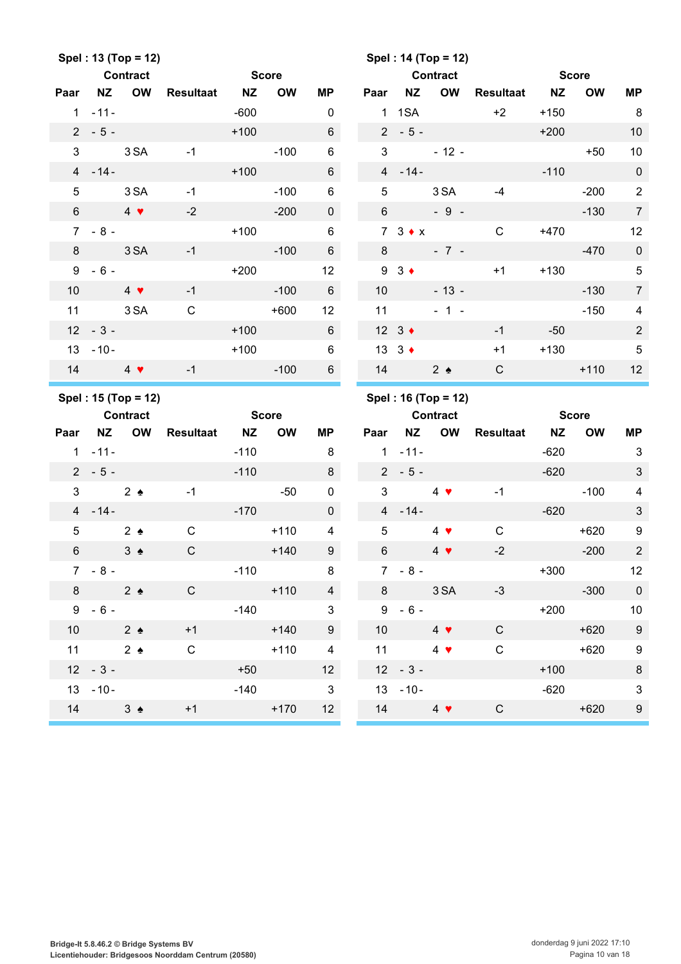|                |                      | Spel: 13 (Top = 12)      |                  |              |              |                 |                 |                       | Spel: 14 (Top = 12)      |                  |              |              |                          |
|----------------|----------------------|--------------------------|------------------|--------------|--------------|-----------------|-----------------|-----------------------|--------------------------|------------------|--------------|--------------|--------------------------|
|                |                      | <b>Contract</b>          |                  | <b>Score</b> |              |                 |                 |                       | <b>Contract</b>          |                  | <b>Score</b> |              |                          |
| Paar           | <b>NZ</b>            | <b>OW</b>                | <b>Resultaat</b> | <b>NZ</b>    | <b>OW</b>    | <b>MP</b>       | Paar            | NZ                    | OW                       | Resultaat        | <b>NZ</b>    | <b>OW</b>    | MP                       |
|                | $1 - 11 -$           |                          |                  | $-600$       |              | 0               |                 | 1 1 SA                |                          | $+2$             | $+150$       |              | 8                        |
|                | $2 - 5 -$            |                          |                  | $+100$       |              | $6\overline{6}$ |                 | $2 - 5 -$             |                          |                  | $+200$       |              | 10                       |
| $\mathfrak{S}$ |                      | 3 SA                     | $-1$             |              | $-100$       | 6               | 3               |                       | $-12-$                   |                  |              | $+50$        | 10                       |
|                | $4 - 14 -$           |                          |                  | $+100$       |              | $6\phantom{.}$  |                 | $4 - 14 -$            |                          |                  | $-110$       |              | $\pmb{0}$                |
| 5              |                      | 3 SA                     | $-1$             |              | $-100$       | 6               | 5               |                       | 3 SA                     | $-4$             |              | $-200$       | $\sqrt{2}$               |
| $6\phantom{.}$ |                      | $4 \bullet$              | $-2$             |              | $-200$       | $\mathbf 0$     | $6\overline{6}$ |                       | $-9-$                    |                  |              | $-130$       | $\overline{7}$           |
|                | $7 - 8 -$            |                          |                  | $+100$       |              | $\,6$           |                 | $7 \quad 3 \bullet x$ |                          | $\mathsf{C}$     | $+470$       |              | 12                       |
| 8              |                      | 3 SA                     | $-1$             |              | $-100$       | $6\phantom{1}$  | 8               |                       | $-7 -$                   |                  |              | $-470$       | $\mathbf 0$              |
| 9              | $-6-$                |                          |                  | $+200$       |              | 12              | 9               | $3 \bullet$           |                          | $+1$             | $+130$       |              | $5\phantom{.0}$          |
| 10             |                      | $4$ $\blacktriangledown$ | $-1$             |              | $-100$       | $6\phantom{1}$  | 10              |                       | $-13 -$                  |                  |              | $-130$       | $\overline{7}$           |
| 11             |                      | 3 SA                     | $\mathbf C$      |              | $+600$       | 12              | 11              |                       | $-1 -$                   |                  |              | $-150$       | $\overline{4}$           |
|                | $12 - 3 -$           |                          |                  | $+100$       |              | $6\overline{6}$ |                 | 12 $3 \div$           |                          | $-1$             | $-50$        |              | 2                        |
|                | $13 - 10 -$          |                          |                  | $+100$       |              | $\,6$           | 13 <sup>7</sup> | $3 \bullet$           |                          | $+1$             | $+130$       |              | $\sqrt{5}$               |
| 14             |                      | $4 \bullet$              | $-1$             |              | $-100$       | $6\phantom{1}$  | 14              |                       | $2 \triangleleft$        | $\mathsf{C}$     |              | $+110$       | 12                       |
|                |                      |                          |                  |              |              |                 |                 |                       |                          |                  |              |              |                          |
|                |                      | Spel: 15 (Top = 12)      |                  |              |              |                 |                 |                       | Spel: 16 (Top = 12)      |                  |              |              |                          |
|                |                      | <b>Contract</b>          |                  |              | <b>Score</b> |                 |                 |                       | Contract                 |                  |              | <b>Score</b> |                          |
| Paar           | <b>NZ</b>            | <b>OW</b>                | <b>Resultaat</b> | <b>NZ</b>    | <b>OW</b>    | <b>MP</b>       | Paar            | <b>NZ</b>             | <b>OW</b>                | <b>Resultaat</b> | <b>NZ</b>    | <b>OW</b>    | MP                       |
|                | $1 - 11 -$           |                          |                  | $-110$       |              | 8               |                 | $1 - 11 -$            |                          |                  | $-620$       |              | $\mathbf{3}$             |
|                | $2 - 5 -$            |                          |                  | $-110$       |              | 8               |                 | $2 - 5 -$             |                          |                  | $-620$       |              | $\sqrt{3}$               |
| 3              |                      | $2 \triangle$            | $-1$             |              | $-50$        | 0               | 3               |                       | $4 \bullet$              | $-1$             |              | $-100$       | 4                        |
|                | $4 - 14 -$           |                          |                  | $-170$       |              | $\mathbf 0$     |                 | $4 - 14 -$            |                          |                  | $-620$       |              | $\mathbf{3}$             |
| 5              |                      | $2 \triangle$            | $\mathbf C$      |              | $+110$       | 4               | 5               |                       | $4 \bullet$              | $\mathsf C$      |              | $+620$       | 9                        |
| $\,6$          |                      | $3 \triangle$            | $\mathsf C$      |              | $+140$       | 9               | $6\phantom{1}$  |                       | $4$ $\blacktriangledown$ | $-2$             |              | $-200$       | $\overline{2}$           |
|                | $7 - 8 -$            |                          |                  | $-110$       |              | 8               |                 | $7 - 8 -$             |                          |                  | $+300$       |              | 12                       |
| 8              |                      | 2 <sub>2</sub>           | $\mathsf{C}$     |              | $+110$       | $\overline{4}$  |                 |                       | 8 3 SA                   | $-3$             |              | $-300$       | $\overline{\phantom{0}}$ |
|                | $9 - 6 -$            |                          |                  |              | $-140$       | $\mathbf{3}$    |                 | $9 - 6 -$             |                          |                  |              | $+200$       | 10                       |
|                | 10 $2 \triangleleft$ |                          | $+1$             |              | $+140$       | 9               |                 | 10                    | $4$ $\sqrt{ }$           | $\mathsf{C}$     |              | $+620$       | 9                        |
|                | 11 $2 \triangleleft$ |                          | $\mathsf C$      |              | $+110$       | 4               |                 | 11 $4 \bullet$        |                          | $\mathsf C$      |              | $+620$       | $\boldsymbol{9}$         |
|                | $12 - 3 -$           |                          |                  | $+50$        |              | 12              |                 | $12 - 3 -$            |                          |                  | $+100$       |              | $\, 8$                   |
|                | $13 - 10 -$          |                          |                  | $-140$       |              | $\mathbf{3}$    |                 | $13 - 10 -$           |                          |                  | $-620$       |              | $\sqrt{3}$               |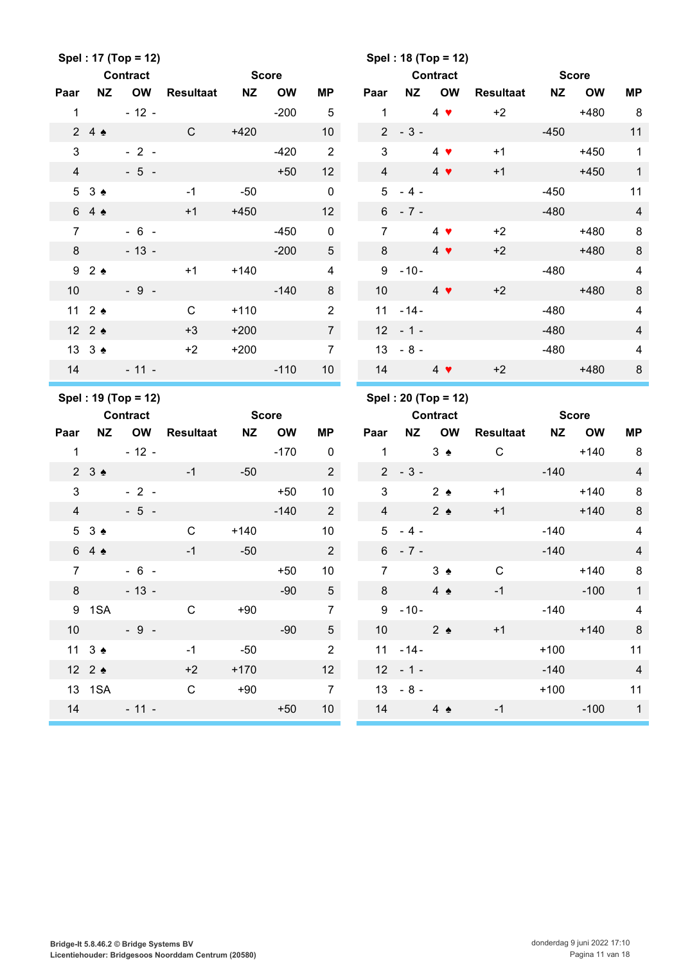|                |                      | Spel: 17 (Top = 12)<br><b>Contract</b> |                     | <b>Score</b> |           |                      |                 |             | Spel: 18 (Top = 12)<br><b>Contract</b> |                  |              | <b>Score</b> |                         |
|----------------|----------------------|----------------------------------------|---------------------|--------------|-----------|----------------------|-----------------|-------------|----------------------------------------|------------------|--------------|--------------|-------------------------|
| Paar           | <b>NZ</b>            | <b>OW</b>                              | <b>Resultaat NZ</b> |              | <b>OW</b> | <b>MP</b>            | Paar            | <b>NZ</b>   | OW                                     | Resultaat        | <b>NZ</b>    | <b>OW</b>    | <b>MP</b>               |
| $\mathbf{1}$   |                      | $-12 -$                                |                     |              | $-200$    | $\overline{5}$       | $\mathbf{1}$    |             | $4$ $\blacktriangledown$               | $+2$             |              | $+480$       | 8                       |
|                | 24                   |                                        | $\mathsf{C}$        | $+420$       |           | 10 <sup>1</sup>      |                 | $2 - 3 -$   | <b>Contract</b>                        |                  | $-450$       |              | 11                      |
| 3              |                      | $-2-$                                  |                     |              | $-420$    | $\overline{2}$       | 3               |             | $4 \bullet$                            | $+1$             |              | $+450$       | $\mathbf{1}$            |
| $\overline{4}$ |                      | $-5 -$                                 |                     |              | $+50$     | 12                   | $\overline{4}$  |             | $4$ $\blacktriangledown$               | $+1$             |              | $+450$       | $\overline{1}$          |
|                | 53 <sub>2</sub>      |                                        | $-1$                | $-50$        |           | $\mathbf 0$          |                 | $5 - 4 -$   |                                        |                  | $-450$       |              | 11                      |
|                | 64                   |                                        | $+1$                | $+450$       |           | 12                   |                 | $6 - 7 -$   |                                        |                  | $-480$       |              | $\overline{4}$          |
| $\overline{7}$ |                      | $-6 -$                                 |                     |              | $-450$    | $\pmb{0}$            | $\overline{7}$  |             | $4$ $\blacktriangledown$               | $+2$             |              | $+480$       | 8                       |
| 8              |                      | $-13 -$                                |                     |              | $-200$    | $\sqrt{5}$           | 8               |             | $4$ $\blacktriangledown$               | $+2$             |              | $+480$       | 8                       |
|                | 92                   |                                        | $+1$                | $+140$       |           | $\overline{4}$       |                 | $9 - 10 -$  |                                        |                  | $-480$       |              | $\overline{\mathbf{4}}$ |
| 10             |                      | $-9-$                                  |                     |              | $-140$    | 8                    | 10 <sup>1</sup> |             | $4 \bullet$                            | $+2$             |              | $+480$       | $\, 8$                  |
|                | 11 $2 \triangleq$    |                                        | $\mathsf{C}$        | $+110$       |           | $\overline{2}$       | 11              | $-14-$      |                                        |                  | $-480$       |              | $\overline{\mathbf{4}}$ |
|                | 12 2 4               |                                        | $+3$                | $+200$       |           | $7\overline{ }$      |                 | $12 - 1 -$  |                                        |                  | $-480$       |              | $\overline{\mathbf{4}}$ |
|                | 13 3 $\triangle$     |                                        | $+2$                | $+200$       |           | $\overline{7}$       |                 | $13 - 8 -$  |                                        |                  | $-480$       |              | $\overline{\mathbf{4}}$ |
|                |                      | $14 - 11 -$                            |                     |              | $-110$    | 10 <sup>1</sup>      |                 | 14          | $4 \bullet$                            | $+2$             |              | $+480$       | 8                       |
|                |                      |                                        |                     |              |           |                      |                 |             |                                        |                  |              |              |                         |
|                |                      | Spel: 19 (Top = 12)                    |                     |              |           |                      |                 |             | Spel: 20 (Top = 12)                    |                  |              |              |                         |
|                |                      | <b>Contract</b>                        |                     | <b>Score</b> |           |                      |                 |             | <b>Contract</b>                        |                  | <b>Score</b> |              |                         |
| Paar           | <b>NZ</b>            | OW                                     | <b>Resultaat</b>    | <b>NZ</b>    | <b>OW</b> | <b>MP</b>            | Paar            | <b>NZ</b>   | <b>OW</b>                              | <b>Resultaat</b> | <b>NZ</b>    | <b>OW</b>    | <b>MP</b>               |
| $\mathbf{1}$   |                      | $-12 -$                                |                     |              | $-170$    | $\mathbf 0$          | $\mathbf{1}$    |             | $3 \triangle$                          | $\mathbf C$      |              | $+140$       | 8                       |
|                | $2 \t3$              |                                        | $-1$                | $-50$        |           | $\overline{2}$       |                 | $2 - 3 -$   |                                        |                  | $-140$       |              | $\overline{\mathbf{4}}$ |
| 3              |                      | $-2-$                                  |                     |              | $+50$     | 10                   | $\mathfrak{S}$  |             | $2 \triangle$                          | $+1$             |              | $+140$       | $\, 8$                  |
| $\overline{4}$ |                      | $-5-$                                  |                     |              | $-140$    | $2^{\circ}$          | $\overline{4}$  |             | $2 \triangle$                          | $+1$             |              | $+140$       | $\, 8$                  |
|                | 53 <sub>2</sub>      |                                        | $\mathsf C$         | $+140$       |           | 10                   |                 | $5 - 4 -$   |                                        |                  | $-140$       |              | $\overline{\mathbf{4}}$ |
|                | 64                   |                                        | $-1$                | $-50$        |           | $\overline{a}$       |                 | $6 - 7 -$   |                                        |                  | $-140$       |              | $\overline{4}$          |
| $7^{\circ}$    |                      | $-6 -$                                 |                     |              | $+50$     | 10 <sup>°</sup>      | $7^{\circ}$     |             | $3 \triangle$                          | $\mathsf{C}$     |              | $+140$       | 8                       |
|                | $8 - 8$              | $-13-$                                 |                     |              | $-90$     | 5 <sub>5</sub>       |                 | $8 - 8$     | $4 \triangle$                          | $-1$             |              | $-100$       | $\overline{1}$          |
|                |                      | 9 1 SA                                 | $\overline{C}$      | $+90$        |           | $\overline{7}$       |                 | $9 - 10 -$  |                                        |                  |              | $-140$       | $\overline{4}$          |
|                | 10                   | $-9-$                                  |                     |              | $-90$     | 5 <sub>5</sub>       |                 | 10 $2 \div$ |                                        | $+1$             |              | $+140$       | 8                       |
|                | 11 $3 \triangleleft$ |                                        | $-1$                | $-50$        |           | $\overline{2}$       |                 | $11 - 14 -$ |                                        |                  | $+100$       |              | 11                      |
|                | 12 2 $\bullet$       |                                        | $+2$                | $+170$       |           | 12                   |                 | $12 - 1 -$  |                                        |                  | $-140$       |              | $\overline{4}$          |
|                |                      | 13 1SA<br>$14 - 11 -$                  | $\mathsf{C}$        | $+90$        | $+50$     | $\overline{7}$<br>10 |                 | $13 - 8 -$  | 14 $4 \triangle$                       | $-1$             | $+100$       | $-100$ 1     | 11                      |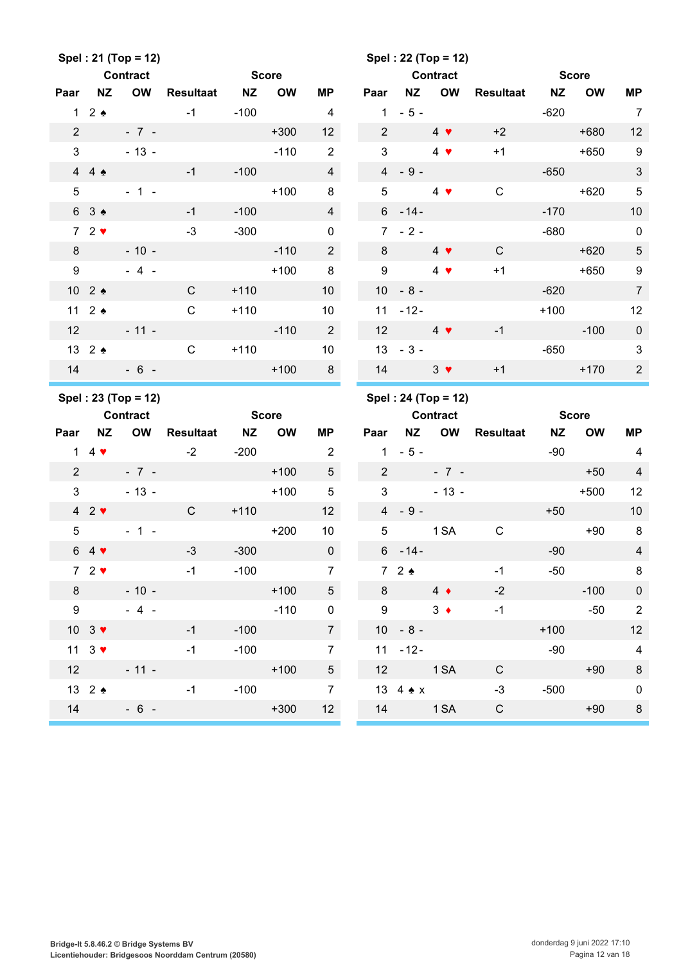|                |                                  | Spel: 21 (Top = 12)              |                  |              |              |                 |                 |                     | Spel: 22 (Top = 12)      |                  |              |              |                           |
|----------------|----------------------------------|----------------------------------|------------------|--------------|--------------|-----------------|-----------------|---------------------|--------------------------|------------------|--------------|--------------|---------------------------|
|                |                                  | <b>Contract</b>                  |                  | <b>Score</b> |              |                 |                 |                     | <b>Contract</b>          |                  | <b>Score</b> |              |                           |
| Paar           | <b>NZ</b>                        | <b>OW</b>                        | <b>Resultaat</b> | <b>NZ</b>    | <b>OW</b>    | МP              | Paar            | <b>NZ</b>           | OW                       | <b>Resultaat</b> | <b>NZ</b>    | <b>OW</b>    | MP                        |
|                | $1\quad2$ $\bullet$              |                                  | $-1$             | $-100$       |              | $\overline{4}$  | 1               | $-5-$               |                          |                  | $-620$       |              | $\overline{7}$            |
| $\overline{2}$ |                                  | $-7 -$                           |                  |              | $+300$       | 12              | $\overline{2}$  |                     | $4 \bullet$              | $+2$             |              | $+680$       | 12                        |
| 3              |                                  | $-13 -$                          |                  |              | $-110$       | 2               | 3               |                     | $4$ $\blacktriangledown$ | $+1$             |              | $+650$       | $\boldsymbol{9}$          |
|                | 44.                              |                                  | $-1$             | $-100$       |              | $\overline{4}$  |                 | $4 - 9 -$           |                          |                  | $-650$       |              | $\ensuremath{\mathsf{3}}$ |
| 5              |                                  | $-1 -$                           |                  |              | $+100$       | 8               | 5               |                     | $4$ $\blacktriangledown$ | $\mathsf C$      |              | $+620$       | $\sqrt{5}$                |
|                | 6 3 ♠                            |                                  | $-1$             | $-100$       |              | $\overline{4}$  |                 | $6 - 14 -$          |                          |                  | $-170$       |              | 10                        |
|                | $72$ $\blacktriangleright$       |                                  | $-3$             | $-300$       |              | $\mathbf 0$     |                 | $7 - 2 -$           |                          |                  | $-680$       |              | $\mathsf 0$               |
| 8              |                                  | $-10 -$                          |                  |              | $-110$       | $\overline{2}$  | 8               |                     | $4$ $\blacktriangledown$ | $\mathsf{C}$     |              | $+620$       | $\sqrt{5}$                |
| 9              |                                  | $-4-$                            |                  |              | $+100$       | 8               | 9               |                     | $4$ $\blacktriangledown$ | $+1$             |              | $+650$       | 9                         |
|                | 10 2 ♠                           |                                  | $\mathsf{C}$     | $+110$       |              | 10              | 10 <sup>°</sup> | $-8-$               |                          |                  | $-620$       |              | $\overline{7}$            |
|                | 11 $2 \triangleleft$             |                                  | $\mathbf C$      | $+110$       |              | 10              | 11              | $-12-$              |                          |                  | $+100$       |              | 12                        |
| 12             |                                  | $-11 -$                          |                  |              | $-110$       | $\overline{2}$  | 12              |                     | $4 \bullet$              | $-1$             |              | $-100$       | $\boldsymbol{0}$          |
|                | 13 2 ♠                           |                                  | $\mathsf{C}$     | $+110$       |              | 10              |                 | $13 - 3 -$          |                          |                  | $-650$       |              | 3                         |
| 14             |                                  | $-6 -$                           |                  |              | $+100$       | 8               | 14              |                     | $3 \bullet$              | $+1$             |              | $+170$       | $\mathbf{2}$              |
|                |                                  |                                  |                  |              |              |                 |                 |                     |                          |                  |              |              |                           |
|                |                                  | Spel: 23 (Top = 12)              |                  |              |              |                 |                 |                     | Spel: 24 (Top = 12)      |                  |              |              |                           |
|                |                                  | <b>Contract</b>                  |                  |              | <b>Score</b> |                 |                 |                     | <b>Contract</b>          |                  |              | <b>Score</b> |                           |
| Paar           | <b>NZ</b>                        | <b>OW</b>                        | <b>Resultaat</b> | <b>NZ</b>    | <b>OW</b>    | <b>MP</b>       | Paar            | <b>NZ</b>           | OW                       | <b>Resultaat</b> | <b>NZ</b>    | <b>OW</b>    | <b>MP</b>                 |
| $\mathbf{1}$   | $4 \cdot$                        |                                  | $-2$             | $-200$       |              | $\overline{2}$  | $\mathbf{1}$    | $-5-$               |                          |                  | $-90$        |              | 4                         |
| $\overline{2}$ |                                  | $-7 -$                           |                  |              | $+100$       | $5\phantom{.0}$ | $\overline{2}$  |                     | $-7 -$                   |                  |              | $+50$        | $\overline{4}$            |
| 3              |                                  | $-13 -$                          |                  |              | $+100$       | 5               | 3               |                     | $-13 -$                  |                  |              | $+500$       | 12                        |
|                | $42$ $\blacktriangleright$       |                                  | $\mathsf{C}$     | $+110$       |              | 12              | $\overline{4}$  | $-9-$               |                          |                  | $+50$        |              | 10                        |
| 5              |                                  | $-1 -$                           |                  |              | $+200$       | 10              | 5               |                     | 1 SA                     | $\mathsf C$      |              | $+90$        | $\, 8$                    |
|                | $64$ $\blacktriangledown$        |                                  | $-3$             |              | $-300$       | $\overline{0}$  |                 |                     | $6 - 14 -$               |                  |              | $-90$        | $\overline{4}$            |
|                | $72$ $\blacktriangleright$       | $\sim$ $-1$                      |                  | $-100$       |              | $\overline{7}$  |                 | $7\quad2$ $\bullet$ |                          | $-1$             | $-50$        |              | 8                         |
|                | $8 \qquad \qquad$                | $-10 -$                          |                  |              |              | $+100$ 5        |                 | 8 $4 \bullet$       |                          | $-2$             |              | $-100$       | $\pmb{0}$                 |
|                | $9 \quad \Box$                   | $-4 -$                           |                  |              | $-110$       | $\mathbf 0$     |                 | 9                   | $3 \bullet$              | $-1$             |              | $-50$        | $\sqrt{2}$                |
|                | $10 \quad 3 \blacktriangleright$ |                                  | $-1$             | $-100$       |              | $\overline{7}$  |                 | $10 - 8 -$          |                          |                  |              | $+100$       | 12                        |
|                |                                  | $11 \quad 3 \blacktriangleright$ | $-1$             | $-100$       |              | $\overline{7}$  |                 | $11 - 12 -$         |                          |                  | $-90$        |              | $\overline{4}$            |
|                |                                  |                                  | $12 - 11 -$      |              | $+100$       | 5 <sub>5</sub>  |                 |                     | 12 1 SA                  | $\mathsf{C}$     |              | $+90$        | $\bf 8$                   |
|                |                                  | $13\quad2$ $\bullet$             | $-1$             |              | $-100$       | $\overline{7}$  |                 |                     | 13 $4 \triangle x$       | $-3$             |              | $-500$       | $\mathbf 0$               |
| 14             |                                  | $-6-$                            |                  |              | $+300$       | 12              |                 |                     | 14 1 SA                  | $\mathsf{C}$     |              | $+90$        | $\bf 8$                   |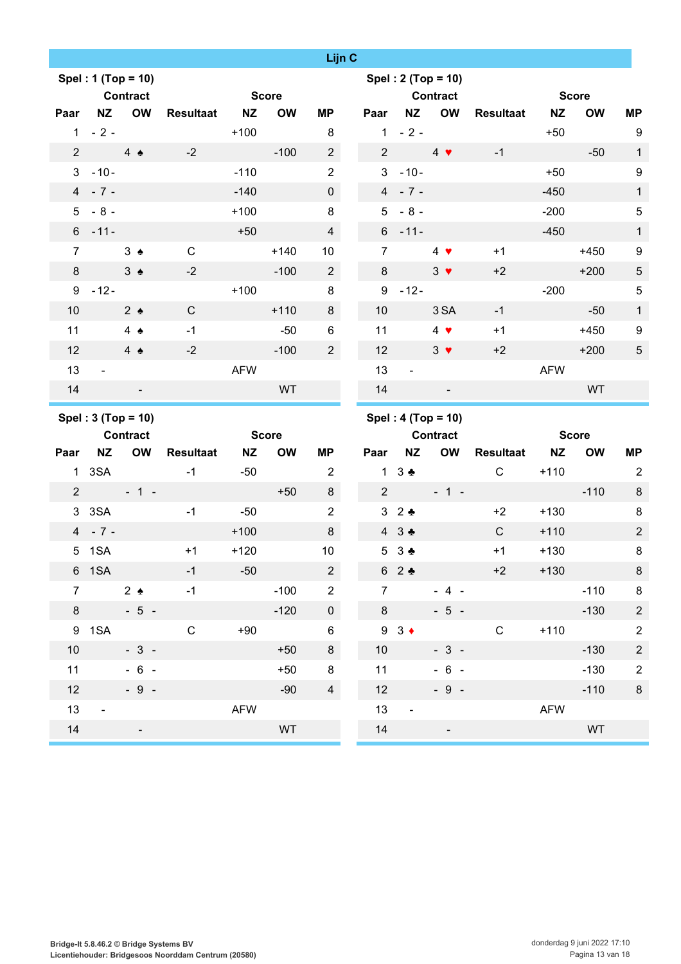|                 |                    |                 |                  |              |           | Lijn C         |                 |                 |                          |                  |            |              |                |
|-----------------|--------------------|-----------------|------------------|--------------|-----------|----------------|-----------------|-----------------|--------------------------|------------------|------------|--------------|----------------|
|                 | Spel: 1 (Top = 10) |                 |                  |              |           |                |                 |                 | Spel: 2 (Top = 10)       |                  |            |              |                |
|                 |                    | <b>Contract</b> |                  | <b>Score</b> |           |                |                 |                 | <b>Contract</b>          |                  |            | <b>Score</b> |                |
| Paar            | <b>NZ</b>          | <b>OW</b>       | Resultaat NZ     |              | <b>OW</b> | МP             | Paar            | <b>NZ</b>       | OW                       | <b>Resultaat</b> | <b>NZ</b>  | <b>OW</b>    | <b>MP</b>      |
|                 | $1 - 2 -$          |                 |                  | $+100$       |           | 8              |                 | $1 - 2 -$       |                          |                  | $+50$      |              | 9              |
| $2^{\circ}$     | $4 \triangle$      |                 | $-2$             |              | $-100$    | $\overline{2}$ | 2 <sup>1</sup>  |                 | $4$ $\blacktriangledown$ | $-1$             |            | $-50$        | $\mathbf{1}$   |
| 3 <sup>1</sup>  | $-10-$             |                 |                  | $-110$       |           | $\overline{2}$ | 3 <sup>1</sup>  | $-10-$          |                          |                  | $+50$      |              | 9              |
|                 | $4 - 7 -$          |                 |                  | $-140$       |           | $\overline{0}$ |                 | $4 - 7 -$       |                          |                  | $-450$     |              | $\mathbf{1}$   |
|                 | $5 - 8 -$          |                 |                  | $+100$       |           | 8              |                 | $5 - 8 -$       |                          |                  | $-200$     |              | $\sqrt{5}$     |
|                 | $6 - 11 -$         |                 |                  | $+50$        |           | $\overline{4}$ |                 | $6 - 11 -$      |                          |                  | $-450$     |              | $\mathbf{1}$   |
| $\overline{7}$  |                    | $3 \triangle$   | $\mathbf C$      |              | $+140$    | 10             | $7^{\circ}$     |                 | $4 \bullet$              | $+1$             |            | $+450$       | 9              |
| 8               |                    | $3 \triangle$   | $-2$             |              | $-100$    | $\overline{a}$ | 8               |                 | $3 \bullet$              | $+2$             |            | $+200$       | $\sqrt{5}$     |
|                 | $9 - 12 -$         |                 |                  | $+100$       |           | 8              |                 | $9 - 12 -$      |                          |                  | $-200$     |              | $\mathbf 5$    |
| 10              |                    | $2 \triangle$   | $\mathbf C$      |              | $+110$    | 8              | 10              |                 | 3 SA                     | $-1$             |            | $-50$        | $\mathbf{1}$   |
| 11              |                    | 4 $\triangle$   | $-1$             |              | $-50$     | 6              | 11              |                 | $4$ $\bullet$            | $+1$             |            | $+450$       | $9\,$          |
| 12              |                    | $4 \triangle$   | $-2$             |              | $-100$    | $\overline{2}$ | 12              |                 | $3 \bullet$              | $+2$             |            | $+200$       | $\sqrt{5}$     |
| 13              | $\blacksquare$     |                 |                  | <b>AFW</b>   |           |                | 13              | $\blacksquare$  |                          |                  | <b>AFW</b> |              |                |
| 14              |                    | ٠               |                  |              | <b>WT</b> |                | 14              |                 |                          |                  |            | <b>WT</b>    |                |
|                 |                    |                 |                  |              |           |                |                 |                 |                          |                  |            |              |                |
|                 | Spel: 3 (Top = 10) |                 |                  |              |           |                |                 |                 | Spel: 4 (Top = 10)       |                  |            |              |                |
|                 |                    | <b>Contract</b> |                  | <b>Score</b> |           |                |                 |                 | <b>Contract</b>          |                  |            | <b>Score</b> |                |
| Paar            | <b>NZ</b>          | <b>OW</b>       | <b>Resultaat</b> | <b>NZ</b>    | <b>OW</b> | <b>MP</b>      | Paar            | <b>NZ</b>       | OW                       | <b>Resultaat</b> | <b>NZ</b>  | <b>OW</b>    | <b>MP</b>      |
|                 | 1 3SA              |                 | $-1$             | $-50$        |           | $\overline{2}$ |                 | $1 \t3$         |                          | $\mathsf{C}$     | $+110$     |              | $\overline{2}$ |
| $\overline{2}$  |                    | $-1$ $-1$ $-$   |                  |              | $+50$     | 8              | $2^{\circ}$     |                 | $-1 -$                   |                  |            | $-110$       | 8              |
|                 | 3 3 SA             |                 | $-1$             | $-50$        |           | $\overline{2}$ |                 | 32              |                          | $+2$             | $+130$     |              | 8              |
|                 | $4 - 7 -$          |                 |                  | $+100$       |           | 8              |                 | 43.4            |                          | $\mathsf{C}$     | $+110$     |              | $\overline{2}$ |
|                 | 5 1SA              |                 | $+1$             | $+120$       |           | 10             | 5               | $3 +$           |                          | $+1$             | $+130$     |              | $\bf 8$        |
|                 | 6 1SA              |                 | $-1$             | $-50$        |           | $\overline{2}$ |                 | 62              |                          | $+2$             | $+130$     |              | 8              |
| $7^{\circ}$     |                    | 2 <sub>2</sub>  | $-1$             |              | $-100$    | $\overline{2}$ | $\overline{7}$  |                 | $-4 -$                   |                  |            | $-110$       | $\bf 8$        |
| 8               | $-5-$              |                 |                  |              | $-120$    | $\overline{0}$ | 8               |                 | $-5 -$                   |                  |            | $-130$       | $\overline{2}$ |
|                 | 9 1SA              |                 | $\mathsf{C}$     | $+90$        |           | $\,6\,$        |                 | $9 \t3 \t\cdot$ |                          | $\mathbf C$      | $+110$     |              | $\overline{2}$ |
| 10 <sup>°</sup> |                    | $-3-$           |                  |              | $+50$     | 8              | 10 <sup>°</sup> |                 | $-3 -$                   |                  |            | $-130$       | $\overline{2}$ |
| 11              |                    | $-6 -$          |                  |              | $+50$     | $\bf8$         | 11              |                 | $-6 -$                   |                  |            | $-130$       | $\overline{2}$ |
| 12              |                    | $-9 -$          |                  |              | $-90$     | $\overline{4}$ | 12              |                 | $-9 -$                   |                  |            | $-110$       | $\,8\,$        |
| 13              | $\blacksquare$     |                 |                  | <b>AFW</b>   |           |                | 13              | $\blacksquare$  |                          |                  | <b>AFW</b> |              |                |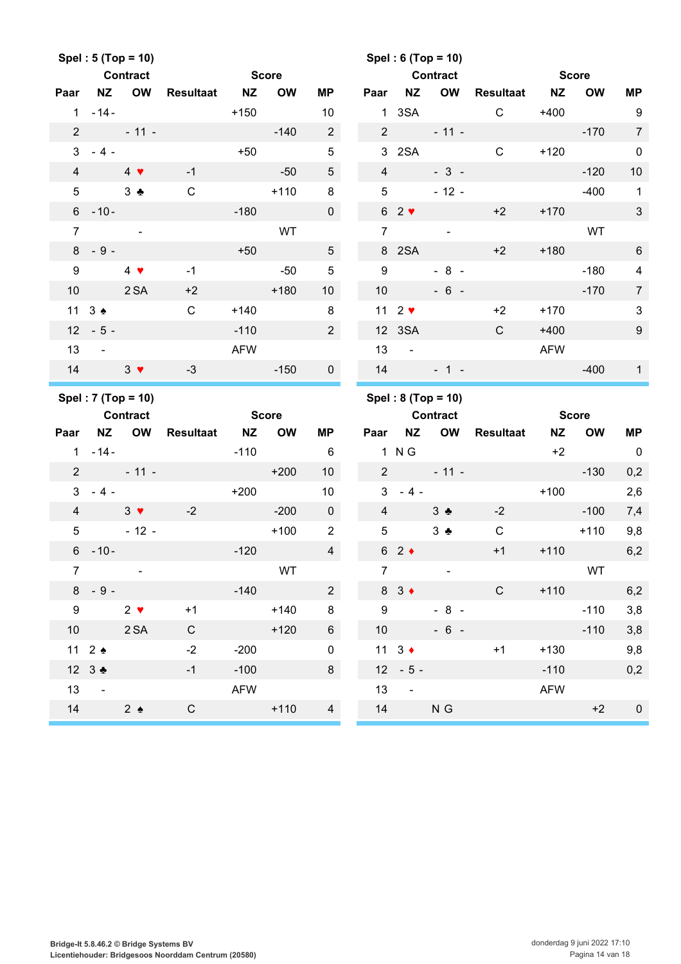|                 |                      | Spel: 5 (Top = 10)       |                     |              |           |                 |                 |                                | Spel: 6 (Top = 10)               |                 |                |              |                          |
|-----------------|----------------------|--------------------------|---------------------|--------------|-----------|-----------------|-----------------|--------------------------------|----------------------------------|-----------------|----------------|--------------|--------------------------|
|                 |                      | <b>Contract</b>          |                     | <b>Score</b> |           |                 |                 |                                | <b>Contract</b>                  |                 | <b>Score</b>   |              |                          |
|                 | Paar NZ OW           |                          | <b>Resultaat NZ</b> |              | <b>OW</b> | ΜP              | Paar            | <b>NZ</b>                      |                                  | OW Resultaat NZ |                | <b>OW</b>    | <b>MP</b>                |
|                 | $1 - 14 -$           |                          |                     | $+150$       |           | 10              |                 |                                |                                  | 1 3SA C         | $+400$         |              | 9                        |
| $\overline{2}$  |                      | $-11 -$                  |                     |              | $-140$    | $\overline{2}$  |                 | $2 \left( \frac{1}{2} \right)$ | $-11 -$                          |                 |                | $-170$       | $\overline{7}$           |
|                 | $3 - 4 -$            |                          |                     | $+50$        |           | $\overline{5}$  |                 |                                | 3 2SA                            | $\mathsf{C}$    |                | $+120$       | $\mathbf 0$              |
| $\overline{4}$  |                      | $4$ $\blacktriangledown$ | $-1$                |              | $-50$     | $5\phantom{.0}$ | $\overline{4}$  |                                | $-3-$                            |                 |                | $-120$       | 10                       |
| 5               | 3 <sub>2</sub>       |                          | $\mathbf C$         |              | $+110$    | 8               | 5 <sup>5</sup>  |                                | $-12 -$                          |                 |                | $-400$       | $\overline{1}$           |
|                 | $6 - 10 -$           |                          |                     | $-180$       |           | $\mathbf 0$     |                 | $62$ $\blacktriangledown$      |                                  | $+2$            |                | $+170$       | $\mathbf{3}$             |
| $\overline{7}$  |                      | $\sim$                   |                     |              | WT        |                 | $\overline{7}$  |                                | $\sim$ .                         |                 |                | WT           |                          |
|                 | $8 - 9 -$            |                          |                     | $+50$        |           | $5\phantom{.0}$ |                 | 8 2SA                          |                                  | $+2$            |                | $+180$       | $6\phantom{1}6$          |
| 9               |                      | $4 \bullet$              | $-1$                |              | $-50$     | $5\phantom{.0}$ | 9               |                                | $-8 -$                           |                 |                | $-180$       | $\overline{4}$           |
| 10 <sup>°</sup> | 2 SA                 |                          | $+2$                | $+180$       |           | 10 <sup>1</sup> | 10 <sup>°</sup> |                                | $-6 -$                           |                 |                | $-170$       | $\overline{7}$           |
|                 | $11 \t3$ $\bullet$   |                          | $\mathsf{C}$        | $+140$       |           | 8               |                 |                                | $11 \quad 2 \blacktriangleright$ | $+2$            | $+170$         |              | $\mathbf{3}$             |
|                 | $12 - 5 -$           |                          |                     | $-110$       |           | $2^{\circ}$     |                 | 12 3SA                         |                                  | $\mathsf{C}$    | $+400$         |              | $9\,$                    |
| 13              | $\sim 100$           |                          |                     | <b>AFW</b>   |           |                 | 13              | $\sim 100$                     |                                  |                 | AFW            |              |                          |
| 14              | $3 \sqrt{ }$         |                          | $-3$                |              | $-150$    | $\overline{0}$  | 14              |                                | $-1 -$                           |                 |                | $-400$       | $\mathbf{1}$             |
|                 |                      |                          |                     |              |           |                 |                 |                                |                                  |                 |                |              |                          |
|                 |                      | Spel: 7 (Top = 10)       |                     |              |           |                 |                 |                                | Spel: $8 (Top = 10)$             |                 |                |              |                          |
|                 | <b>Contract</b>      |                          |                     | <b>Score</b> |           |                 |                 |                                | <b>Contract</b>                  |                 |                | <b>Score</b> |                          |
|                 | Paar NZ OW           |                          | Resultaat NZ OW     |              |           | ΜP              |                 |                                | Paar NZ OW                       | Resultaat       | <b>NZ</b>      | <b>OW</b>    | <b>MP</b>                |
|                 | $1 - 14 -$           |                          |                     | -110         |           | $6\overline{6}$ |                 | 1 N G                          |                                  |                 | $+2$           |              | $\overline{\phantom{0}}$ |
|                 |                      | $2 - 11 -$               |                     |              | $+200$    | 10 <sup>1</sup> |                 |                                | $2 - 11 -$                       |                 |                | $-130$       | 0,2                      |
| 3 <sup>1</sup>  |                      | $-4$ $-$                 |                     | $+200$       |           | 10 <sub>1</sub> |                 |                                | $3 - 4 -$                        |                 | $+100$         |              | 2,6                      |
| $\overline{4}$  |                      | $3 \times 2$             |                     |              | $-200$    | $\mathbf 0$     | $\overline{4}$  |                                | $3 \bullet$                      | $-2$            | <b>Service</b> | $-100$       | 7,4                      |
| 5 <sup>5</sup>  |                      | $-12-$                   |                     |              | $+100$    | $\overline{2}$  | $5\phantom{.0}$ |                                | $3 - 2$                          | $\mathsf{C}$    |                | $+110$       | 9,8                      |
|                 | $6 - 10 -$           |                          |                     | $-120$       |           | $\overline{4}$  |                 | $62 \div$                      |                                  | $+1$            | $+110$         |              | 6,2                      |
| $\overline{7}$  |                      |                          |                     |              | WT        |                 | $\overline{7}$  |                                |                                  |                 |                | WT           |                          |
| 8               | $-9-$                |                          |                     | $-140$       |           | $\overline{2}$  |                 | $8 \quad 3 \bullet$            |                                  | $\mathsf{C}$    | $+110$         |              | 6,2                      |
| 9               |                      | $2 \bullet$              | $+1$                |              | $+140$    | 8               | 9               |                                | $-8 -$                           |                 |                | $-110$       | 3,8                      |
| 10 <sup>°</sup> |                      | 2SA                      | $\mathsf{C}$        |              | $+120$    | $6\overline{6}$ | 10 <sup>1</sup> |                                | $-6 -$                           |                 |                | $-110$       | 3,8                      |
|                 | 11 $2 \triangleleft$ |                          | $-2$                | $-200$       |           | $\mathbf 0$     |                 | 11 $3 \bullet$                 |                                  | $+1$            | $+130$         |              | 9,8                      |
|                 | 12 $3$ $\bullet$     |                          | $-1$                | $-100$       |           | 8               |                 | $12 - 5 -$                     |                                  |                 | $-110$         |              | 0,2                      |
| 13              | $\sim$               |                          |                     | <b>AFW</b>   |           |                 | 13              | $\blacksquare$                 |                                  |                 | <b>AFW</b>     |              |                          |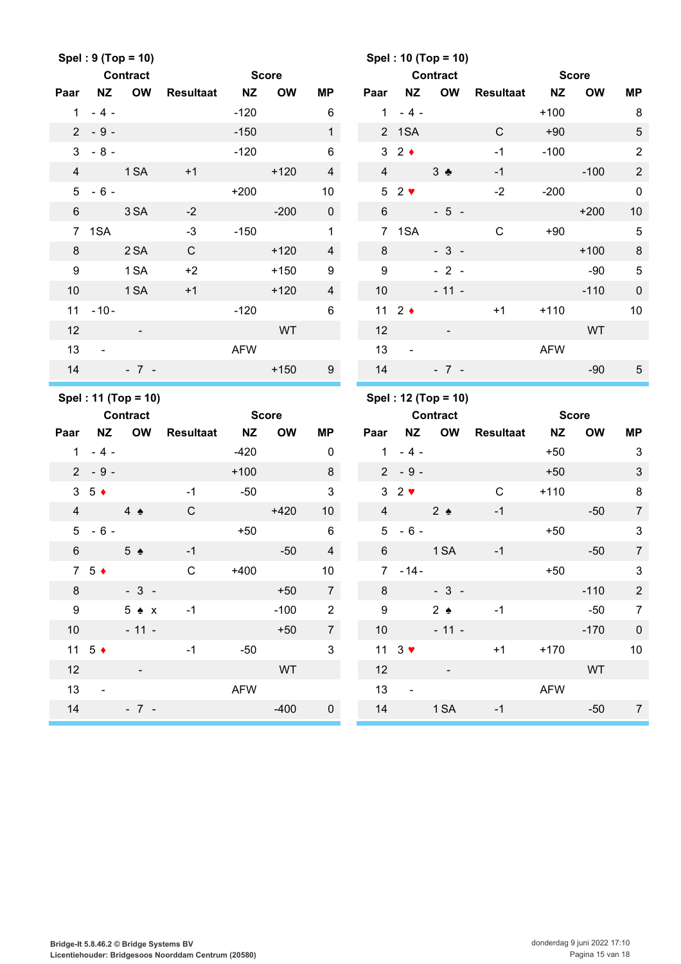|                 |                      | Spel: 9 (Top = 10)                     |                  |              |           |                 |                 |                             | Spel: 10 (Top = 10)                    |              |            |                    |                  |
|-----------------|----------------------|----------------------------------------|------------------|--------------|-----------|-----------------|-----------------|-----------------------------|----------------------------------------|--------------|------------|--------------------|------------------|
|                 |                      | <b>Contract</b>                        |                  | <b>Score</b> |           |                 |                 |                             | <b>Contract</b>                        |              |            | <b>Score</b>       |                  |
| Paar            | NZ                   | <b>OW</b>                              | <b>Resultaat</b> | <b>NZ</b>    | <b>OW</b> | ΜP              | Paar            | <b>NZ</b>                   | OW                                     | Resultaat NZ |            | <b>OW</b>          | MP               |
|                 | $1 - 4 -$            |                                        |                  | $-120$       |           | 6               | 1               | $-4-$                       |                                        |              | $+100$     |                    | 8                |
|                 | $2 - 9 -$            |                                        |                  | $-150$       |           | 1               |                 | 2 1SA                       |                                        | $\mathsf{C}$ | $+90$      |                    | $\sqrt{5}$       |
| $\mathbf{3}$    | $-8-$                |                                        |                  | $-120$       |           | $\,6\,$         |                 | $3\quad2$ $\bullet$         |                                        | $-1$         | $-100$     |                    | $\sqrt{2}$       |
| $\overline{4}$  |                      | 1 SA                                   | $+1$             |              | $+120$    | $\overline{4}$  | $\overline{4}$  |                             | $3 \bullet$                            | $-1$         |            | $-100$             | $\sqrt{2}$       |
| 5               | $-6-$                |                                        |                  | $+200$       |           | 10              |                 | $52$ $\blacktriangleright$  |                                        | $-2$         | $-200$     |                    | $\mathbf 0$      |
| $6\phantom{1}$  |                      | 3 SA                                   | $-2$             |              | $-200$    | $\overline{0}$  | $6\overline{6}$ |                             | $-5 -$                                 |              |            | $+200$             | 10               |
|                 | 7 1SA                |                                        | $-3$             | $-150$       |           | $\mathbf{1}$    |                 | 7 1SA                       |                                        | $\mathsf{C}$ | $+90$      |                    | $\overline{5}$   |
| 8               |                      | 2SA                                    | $\mathsf C$      |              | $+120$    | $\overline{4}$  | 8               |                             | $-3-$                                  |              |            | $+100$             | $\,8\,$          |
| 9               |                      | 1 <sub>SA</sub>                        | $+2$             |              | $+150$    | 9               | 9               |                             | $-2-$                                  |              |            | $-90$              | $\sqrt{5}$       |
| 10              |                      | 1 SA                                   | $+1$             |              | $+120$    | $\overline{4}$  | 10              |                             | $-11 -$                                |              |            | $-110$             | $\pmb{0}$        |
| 11              | $-10-$               |                                        |                  | $-120$       |           | $\,6\,$         |                 | 11 $2 \div$                 |                                        | $+1$         | $+110$     |                    | 10               |
| 12              |                      | $\omega$                               |                  |              | <b>WT</b> |                 | 12              |                             | $\sim$                                 |              |            | WT                 |                  |
| 13              | $\sim$               |                                        |                  | <b>AFW</b>   |           |                 | 13              | $\blacksquare$              |                                        |              | <b>AFW</b> |                    |                  |
| 14              |                      | $-7 -$                                 |                  |              | $+150$    | 9               | 14              |                             | $-7 -$                                 |              |            | $-90$              | $\overline{5}$   |
|                 |                      |                                        |                  |              |           |                 |                 |                             |                                        |              |            |                    |                  |
|                 |                      |                                        |                  |              |           |                 |                 |                             |                                        |              |            |                    |                  |
|                 |                      | Spel: 11 (Top = 10)<br><b>Contract</b> |                  | <b>Score</b> |           |                 |                 |                             | Spel: 12 (Top = 10)<br><b>Contract</b> |              |            |                    |                  |
| Paar            | <b>NZ</b>            | <b>OW</b>                              |                  | <b>NZ</b>    | <b>OW</b> | ΜP              | Paar            | <b>NZ</b>                   | OW                                     |              | <b>NZ</b>  | <b>Score</b><br>OW | MP               |
| $\mathbf{1}$    | $-4-$                |                                        | <b>Resultaat</b> | $-420$       |           | 0               | $\mathbf{1}$    | $-4-$                       |                                        | Resultaat    | $+50$      |                    | 3                |
|                 | $2 - 9 -$            |                                        |                  | $+100$       |           | 8               |                 | $2 - 9 -$                   |                                        |              | $+50$      |                    | $\sqrt{3}$       |
|                 | $3\quad5$ +          |                                        | $-1$             | $-50$        |           | 3               |                 | $32$ $\blacktriangleright$  |                                        | $\mathsf{C}$ | $+110$     |                    | 8                |
| $\overline{4}$  |                      | $4 \triangle$                          | $\mathsf{C}$     |              | $+420$    | 10 <sup>°</sup> | $\overline{4}$  |                             | $2 \triangle$                          | $-1$         |            | $-50$              | $\overline{7}$   |
| $5\phantom{.0}$ | $-6-$                |                                        |                  | $+50$        |           | $\,6\,$         |                 | $5 - 6 -$                   |                                        |              | $+50$      |                    | $\sqrt{3}$       |
| 6               |                      | $5 \triangle$                          | $-1$             |              | $-50$     | $\overline{4}$  | $6\phantom{1}$  |                             | 1 SA                                   | $-1$         |            | $-50$              | $\overline{7}$   |
|                 | $7\quad5$ +          |                                        | C                | $+400$       |           | $10$            |                 | $7 - 14 -$                  |                                        |              | $+50$      |                    | $\mathbf{3}$     |
| 8               |                      | $-3-$                                  |                  |              | $+50$     | $\overline{7}$  | 8               |                             | $-3 -$                                 |              |            | $-110$             | $\overline{2}$   |
| 9               |                      | $5 \triangle x$                        | $-1$             |              | $-100$    | $\overline{2}$  | 9               |                             | $2 \triangle$                          | $-1$         |            | $-50$              | $\boldsymbol{7}$ |
| 10 <sup>°</sup> |                      | $-11 -$                                |                  |              | $+50$     | $7\overline{ }$ | 10              |                             | $-11 -$                                |              |            | $-170$             | $\mathbf 0$      |
|                 | 11 $5 \triangleleft$ |                                        | $-1$             | $-50$        |           | $\mathfrak{S}$  |                 | 11 $3$ $\blacktriangledown$ |                                        | $+1$         | $+170$     |                    | 10               |
| 12              |                      |                                        |                  |              | WT        |                 | 12              |                             |                                        |              |            | WT                 |                  |
| 13              | $\blacksquare$       |                                        |                  | <b>AFW</b>   |           |                 | 13              | $\blacksquare$              |                                        |              | <b>AFW</b> |                    |                  |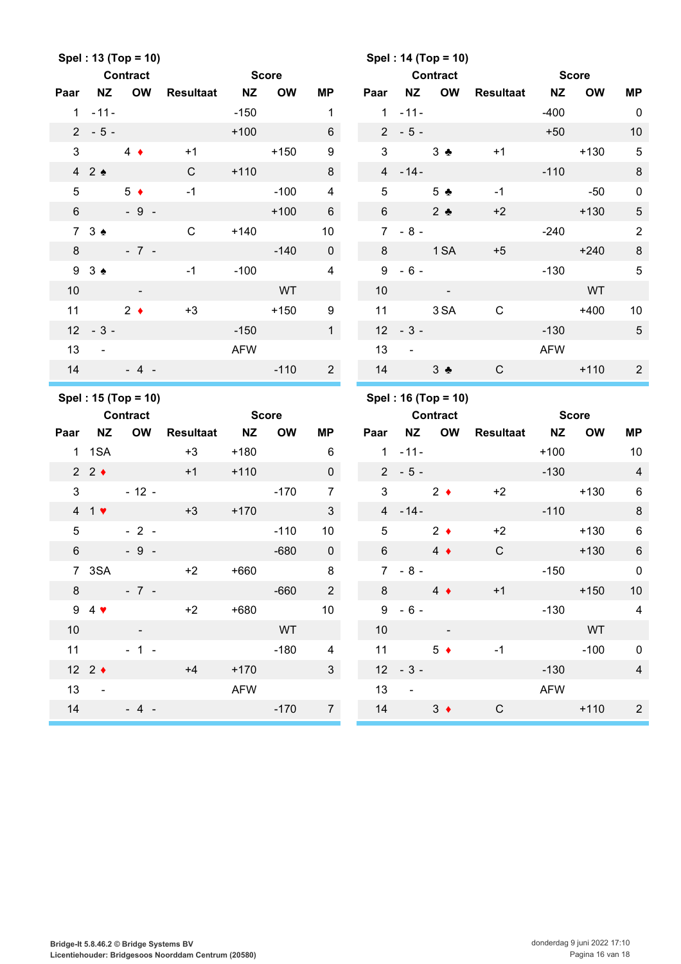|                 |                   | Spel: 13 (Top = 10)                    |                  |              |           |                         |                 |                     | Spel: 14 (Top = 10)                    |              |              |              |                |
|-----------------|-------------------|----------------------------------------|------------------|--------------|-----------|-------------------------|-----------------|---------------------|----------------------------------------|--------------|--------------|--------------|----------------|
|                 |                   | <b>Contract</b>                        |                  | <b>Score</b> |           |                         |                 |                     | <b>Contract</b>                        |              | <b>Score</b> |              |                |
| Paar            | NZ                | <b>OW</b>                              | <b>Resultaat</b> | <b>NZ</b>    | <b>OW</b> | MP                      | Paar            | <b>NZ</b>           | OW                                     | Resultaat NZ |              | <b>OW</b>    | <b>MP</b>      |
|                 | $1 - 11 -$        |                                        |                  | $-150$       |           | $\mathbf{1}$            | $\mathbf{1}$    | $-11-$              |                                        |              | $-400$       |              | $\overline{0}$ |
|                 | $2 - 5 -$         |                                        |                  | $+100$       |           | $6\phantom{1}$          |                 | $2 - 5 -$           |                                        |              | $+50$        |              | 10             |
| $\mathbf{3}$    |                   | $4 \bullet$                            | $+1$             |              | $+150$    | $\boldsymbol{9}$        | 3               |                     | $3 \bullet$                            | $+1$         |              | $+130$       | $\sqrt{5}$     |
|                 | 42                |                                        | $\mathbf C$      | $+110$       |           | 8                       |                 | $4 - 14 -$          |                                        |              | $-110$       |              | $\,8\,$        |
| 5               |                   | $5 \bullet$                            | $-1$             |              | $-100$    | $\overline{\mathbf{4}}$ | $5\phantom{.0}$ |                     | 5 <sub>2</sub>                         | $-1$         |              | $-50$        | $\pmb{0}$      |
| $6\overline{6}$ |                   | $-9 -$                                 |                  |              | $+100$    | $6\phantom{.}6$         | 6 <sup>1</sup>  |                     | $2$ $\bullet$                          | $+2$         |              | $+130$       | $\sqrt{5}$     |
|                 | 73 <sub>2</sub>   |                                        | $\mathsf{C}$     | $+140$       |           | 10                      |                 | $7 - 8 -$           |                                        |              | $-240$       |              | $\sqrt{2}$     |
| 8               |                   | $-7 -$                                 |                  |              | $-140$    | $\overline{0}$          | 8               | <b>Example 1 SA</b> |                                        | $+5$         |              | $+240$       | $\,8\,$        |
|                 | 93 <sub>0</sub>   |                                        | $-1$             | $-100$       |           | $\overline{4}$          |                 | $9 - 6 -$           |                                        |              | $-130$       |              | $\sqrt{5}$     |
| 10              |                   | $\sim$                                 |                  |              | WT        |                         | 10              |                     | $\sim 100$ km s $^{-1}$                |              |              | <b>WT</b>    |                |
| 11              | $2 \bullet$       |                                        | $+3$             |              | $+150$    | $\boldsymbol{9}$        | 11              |                     | 3 SA                                   | $\mathbf C$  |              | $+400$       | 10             |
|                 | $12 - 3 -$        |                                        |                  | $-150$       |           | 1                       | 12              | $-3-$               |                                        |              | $-130$       |              | $\sqrt{5}$     |
| 13              | $\sim$ $\sim$     |                                        |                  | <b>AFW</b>   |           |                         | 13              | $\blacksquare$      |                                        |              | <b>AFW</b>   |              |                |
| 14              |                   | $-4$ -                                 |                  |              | $-110$    | $2^{\circ}$             | 14              |                     | $3 \bullet$                            | C            |              | $+110$       | $\overline{2}$ |
|                 |                   |                                        |                  |              |           |                         |                 |                     |                                        |              |              |              |                |
|                 |                   |                                        |                  |              |           |                         |                 |                     |                                        |              |              |              |                |
|                 |                   | Spel: 15 (Top = 10)<br><b>Contract</b> |                  | <b>Score</b> |           |                         |                 |                     | Spel: 16 (Top = 10)<br><b>Contract</b> |              |              | <b>Score</b> |                |
| Paar            | <b>NZ</b>         | <b>OW</b>                              | <b>Resultaat</b> | <b>NZ</b>    | <b>OW</b> | ΜP                      | Paar            | <b>NZ</b>           | OW                                     | Resultaat NZ |              | <b>OW</b>    | <b>MP</b>      |
|                 | 1 1 SA            |                                        | $+3$             | $+180$       |           | 6                       | 1               | $-11-$              |                                        |              | $+100$       |              | 10             |
|                 | $2 \cdot 2 \cdot$ |                                        | $+1$             | $+110$       |           | $\mathbf 0$             |                 | $2 - 5 -$           |                                        |              | $-130$       |              | $\overline{4}$ |
| $\mathfrak{S}$  |                   | $-12 -$                                |                  |              | $-170$    | $\overline{7}$          | 3               |                     | $2 \bullet$                            | $+2$         |              | $+130$       | 6              |
|                 | 41                |                                        | $+3$             | $+170$       |           | $\mathbf{3}$            |                 | $4 - 14 -$          |                                        |              | $-110$       |              | $\,8\,$        |
| 5               |                   | $-2-$                                  |                  |              | $-110$    | 10                      | 5               |                     | $2 \bullet$                            | $+2$         |              | $+130$       | $\,6$          |
| 6               |                   | $-9 -$                                 |                  |              | $-680$    | $\overline{0}$          | $6\phantom{.}$  |                     | $4 \bullet$                            | $\mathsf C$  |              | $+130$       | $\,6\,$        |
|                 | 7 3SA             |                                        | $+2$             | $+660$       |           | 8                       |                 | $7 - 8 -$           |                                        |              | $-150$       |              | $\overline{0}$ |
| 8               |                   | $-7 -$                                 |                  |              | $-660$    | $2\overline{ }$         | 8               |                     | $4 \bullet$                            | $+1$         | <u>an a</u>  | $+150$       | 10             |
|                 | $9\quad 4$        |                                        | $+2$             | $+680$       |           | 10 <sup>°</sup>         |                 | $9 - 6 -$           |                                        |              | $-130$       |              | $\overline{4}$ |
| 10 <sup>°</sup> |                   | $\sim$                                 |                  |              | WT        |                         | 10 <sup>°</sup> |                     |                                        |              |              | WT           |                |
| 11              |                   | $-1 -$                                 |                  |              | $-180$    | $\overline{4}$          |                 | $11$ and $11$       | $5 \bullet$                            | $-1$         |              | $-100$       | $\pmb{0}$      |
|                 | 12 $2 \div$       |                                        | $+4$             | $+170$       |           | 3 <sup>1</sup>          |                 | $12 - 3 -$          |                                        |              | $-130$       |              | $\overline{4}$ |
| 13              | $\sim$ $-$        |                                        |                  | <b>AFW</b>   |           |                         | 13              | $\omega$            |                                        |              | <b>AFW</b>   |              |                |
| 14              |                   | $-4$ -                                 |                  |              | $-170$    | $\overline{7}$          | 14              |                     | $3 +$                                  | $\mathsf C$  |              | $+110$       | $\overline{2}$ |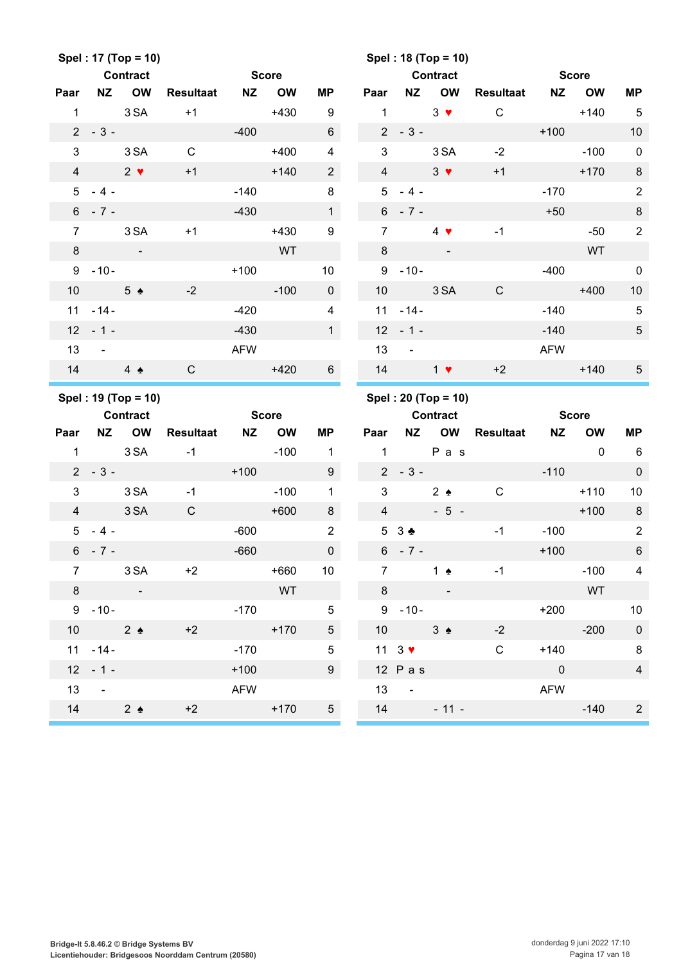|                |                               | Spel: 17 (Top = 10) |                  |              |              |                         |                 |                             | Spel: 18 (Top = 10)      |              |                          |              |                |
|----------------|-------------------------------|---------------------|------------------|--------------|--------------|-------------------------|-----------------|-----------------------------|--------------------------|--------------|--------------------------|--------------|----------------|
|                |                               | <b>Contract</b>     |                  | <b>Score</b> |              |                         |                 |                             | <b>Contract</b>          |              |                          | <b>Score</b> |                |
| Paar           | <b>NZ</b>                     | <b>OW</b>           | <b>Resultaat</b> | <b>NZ</b>    | <b>OW</b>    | <b>MP</b>               | Paar            | <b>NZ</b>                   | <b>OW</b>                | Resultaat    | <b>NZ</b>                | <b>OW</b>    | <b>MP</b>      |
| $\mathbf{1}$   |                               | 3 SA                | $+1$             |              | $+430$       | 9                       | $\mathbf{1}$    |                             | $3 \bullet$              | $\mathsf C$  |                          | $+140$       | $\sqrt{5}$     |
|                | $2 - 3 -$                     |                     |                  | $-400$       |              | $\,6\,$                 |                 | $2 - 3 -$                   |                          |              | $+100$                   |              | 10             |
| 3              |                               | 3 SA                | $\mathbf C$      |              | $+400$       | $\overline{\mathbf{4}}$ | 3               |                             | 3 SA                     | $-2$         |                          | $-100$       | $\mathbf 0$    |
| $\overline{4}$ |                               | $2 \bullet$         | $+1$             |              | $+140$       | $\overline{2}$          | $\overline{4}$  |                             | $3 \bullet$              | $+1$         |                          | $+170$       | $\,8\,$        |
|                | $5 - 4 -$                     |                     |                  | $-140$       |              | $\bf 8$                 | 5 <sup>1</sup>  | $-4-$                       |                          |              | $-170$                   |              | $\overline{2}$ |
|                | $6 - 7 -$                     |                     |                  | $-430$       |              | $\mathbf{1}$            |                 | $6 - 7 -$                   |                          |              | $+50$                    |              | $\, 8$         |
| $\overline{7}$ |                               | 3 SA                | $+1$             |              | $+430$       | 9                       | $\overline{7}$  |                             | $4 \bullet$              | $-1$         |                          | $-50$        | $\overline{2}$ |
| 8              |                               |                     |                  |              | <b>WT</b>    |                         | 8               |                             |                          |              |                          | <b>WT</b>    |                |
|                | $9 - 10 -$                    |                     |                  | $+100$       |              | $10$                    |                 | $9 - 10 -$                  |                          |              | $-400$                   |              | $\pmb{0}$      |
| 10             |                               | $5 \triangle$       | $-2$             |              | $-100$       | $\mathbf 0$             | 10 <sup>1</sup> |                             | 3 SA                     | $\mathsf{C}$ |                          | $+400$       | 10             |
|                | $11 - 14 -$                   |                     |                  | $-420$       |              | $\overline{\mathbf{4}}$ |                 | $11 - 14 -$                 |                          |              | $-140$                   |              | $\sqrt{5}$     |
| 12             | $-1-$                         |                     |                  | $-430$       |              | 1                       |                 | $12 - 1 -$                  |                          |              | $-140$                   |              | $\sqrt{5}$     |
| 13             | $\sim$ $-$                    |                     |                  | <b>AFW</b>   |              |                         | 13              | $\sim$ $\sim$               |                          |              | <b>AFW</b>               |              |                |
| 14             |                               | $4 \triangle$       | $\mathsf{C}$     |              | $+420$       | $6\overline{6}$         | 14              |                             | $1$ $\blacktriangledown$ | $+2$         |                          | $+140$       | $\overline{5}$ |
|                |                               |                     |                  |              |              |                         |                 |                             |                          |              |                          |              |                |
|                |                               | Spel: 19 (Top = 10) |                  |              |              |                         |                 |                             | Spel: 20 (Top = 10)      |              |                          |              |                |
|                |                               | <b>Contract</b>     |                  |              | <b>Score</b> |                         |                 |                             | <b>Contract</b>          |              |                          | <b>Score</b> |                |
| Paar           | <b>NZ</b>                     | <b>OW</b>           | <b>Resultaat</b> | <b>NZ</b>    | <b>OW</b>    | <b>MP</b>               | Paar            | <b>NZ</b>                   | OW                       | Resultaat    | <b>NZ</b>                | <b>OW</b>    | <b>MP</b>      |
| $\mathbf{1}$   |                               | 3 SA                | $-1$             |              | $-100$       | $\mathbf{1}$            | $\mathbf{1}$    |                             | P a s                    |              |                          | $\mathbf{0}$ | 6              |
|                | $2 - 3 -$                     |                     |                  | $+100$       |              | 9                       |                 | $2 - 3 -$                   |                          |              | $-110$                   |              | $\pmb{0}$      |
| 3              |                               | 3 SA                | $-1$             |              | $-100$       | $\mathbf{1}$            | 3               |                             | $2 \triangle$            | $\mathbf C$  |                          | $+110$       | 10             |
| $\overline{4}$ |                               | 3 SA                | $\mathsf{C}$     |              | $+600$       | 8                       | $\overline{4}$  |                             | $-5 -$                   |              |                          | $+100$       | $\,8\,$        |
|                | $5 - 4 -$                     |                     |                  | $-600$       |              | $\overline{2}$          |                 | $53+$                       |                          | $-1$         | $-100$                   |              | $\sqrt{2}$     |
|                | $6 - 7 -$                     |                     |                  | -660         |              | $\mathbf 0$             |                 |                             | $6 - 7 -$                |              | $+100$                   |              | 6              |
| $7^{\circ}$    |                               | 3 SA                | $+2$             |              | $+660$       | 10 <sup>°</sup>         | 7 <sup>7</sup>  |                             | 1 $\bullet$              | $-1$         |                          | $-100$       | $\overline{4}$ |
|                | $8 -$                         |                     |                  |              | <b>WT</b>    |                         |                 | $8 -$                       | $\sim 100$               |              |                          | WT           |                |
|                | $9 - 10 -$                    |                     |                  |              | $-170$       | $5\phantom{.0}$         |                 | $9 - 10 -$                  |                          |              |                          | $+200$       | 10             |
|                |                               | 10 $2 \div$         | $+2$             |              |              | 5 <sub>5</sub>          |                 | $10 \t 3 \t 4$              |                          | $-2$         |                          | $-200$       | $\mathbf 0$    |
|                | $11 - 14 -$                   |                     |                  | $-170$       | $+170$       | $5\phantom{.0}$         |                 | 11 $3$ $\blacktriangledown$ |                          | $\mathbf C$  | $+140$                   |              | 8              |
|                | $12 - 1 -$                    |                     |                  | $+100$       |              | $9\phantom{.0}$         |                 | $12$ Pas                    |                          |              | $\overline{\phantom{0}}$ |              | $\overline{4}$ |
| 13             | $\sim 100$                    |                     |                  | <b>AFW</b>   |              |                         |                 | $13 - 5$                    |                          |              | AFW                      |              |                |
| 14             | $\overline{2}$ $\overline{2}$ |                     | $+2$             |              | $+170$       | 5 <sub>5</sub>          |                 |                             | $14 - 11 -$              |              |                          | $-140$       | $\overline{2}$ |